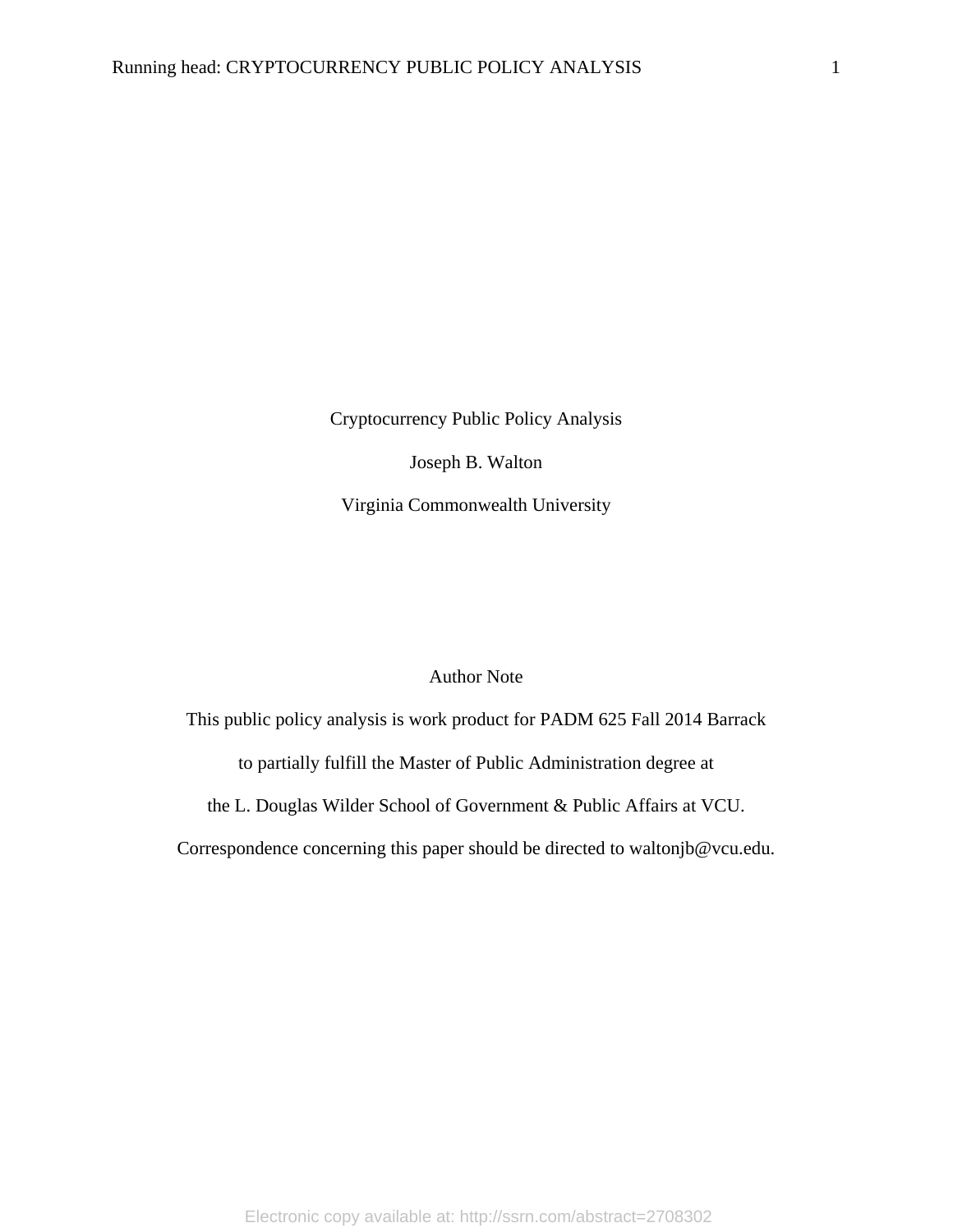Cryptocurrency Public Policy Analysis Joseph B. Walton Virginia Commonwealth University

# Author Note

This public policy analysis is work product for PADM 625 Fall 2014 Barrack to partially fulfill the Master of Public Administration degree at the L. Douglas Wilder School of Government & Public Affairs at VCU.

Correspondence concerning this paper should be directed to waltonjb@vcu.edu.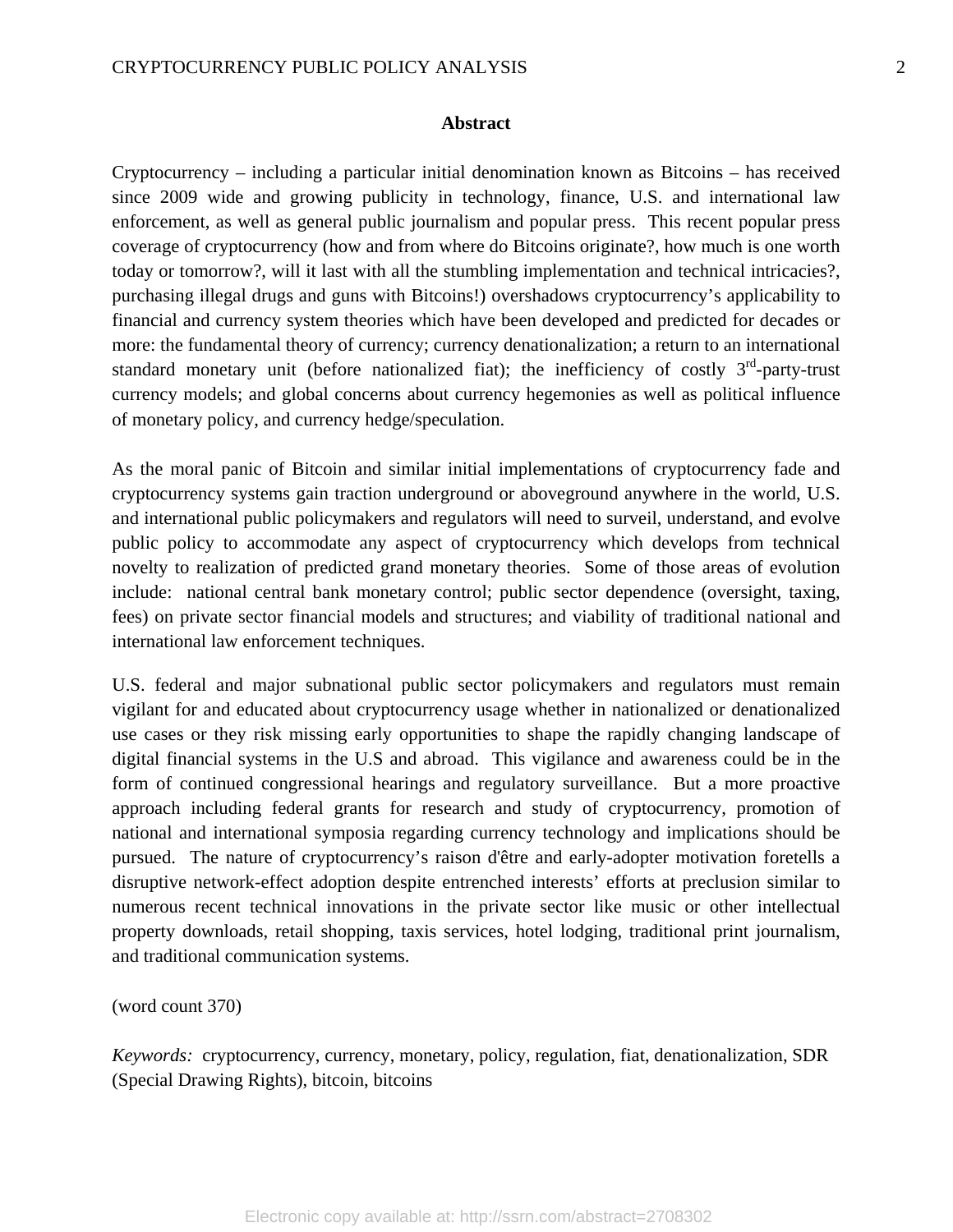### **Abstract**

Cryptocurrency – including a particular initial denomination known as Bitcoins – has received since 2009 wide and growing publicity in technology, finance, U.S. and international law enforcement, as well as general public journalism and popular press. This recent popular press coverage of cryptocurrency (how and from where do Bitcoins originate?, how much is one worth today or tomorrow?, will it last with all the stumbling implementation and technical intricacies?, purchasing illegal drugs and guns with Bitcoins!) overshadows cryptocurrency's applicability to financial and currency system theories which have been developed and predicted for decades or more: the fundamental theory of currency; currency denationalization; a return to an international standard monetary unit (before nationalized fiat); the inefficiency of costly  $3<sup>rd</sup>$ -party-trust currency models; and global concerns about currency hegemonies as well as political influence of monetary policy, and currency hedge/speculation.

As the moral panic of Bitcoin and similar initial implementations of cryptocurrency fade and cryptocurrency systems gain traction underground or aboveground anywhere in the world, U.S. and international public policymakers and regulators will need to surveil, understand, and evolve public policy to accommodate any aspect of cryptocurrency which develops from technical novelty to realization of predicted grand monetary theories. Some of those areas of evolution include: national central bank monetary control; public sector dependence (oversight, taxing, fees) on private sector financial models and structures; and viability of traditional national and international law enforcement techniques.

U.S. federal and major subnational public sector policymakers and regulators must remain vigilant for and educated about cryptocurrency usage whether in nationalized or denationalized use cases or they risk missing early opportunities to shape the rapidly changing landscape of digital financial systems in the U.S and abroad. This vigilance and awareness could be in the form of continued congressional hearings and regulatory surveillance. But a more proactive approach including federal grants for research and study of cryptocurrency, promotion of national and international symposia regarding currency technology and implications should be pursued. The nature of cryptocurrency's raison d'être and early-adopter motivation foretells a disruptive network-effect adoption despite entrenched interests' efforts at preclusion similar to numerous recent technical innovations in the private sector like music or other intellectual property downloads, retail shopping, taxis services, hotel lodging, traditional print journalism, and traditional communication systems.

(word count 370)

*Keywords:* cryptocurrency, currency, monetary, policy, regulation, fiat, denationalization, SDR (Special Drawing Rights), bitcoin, bitcoins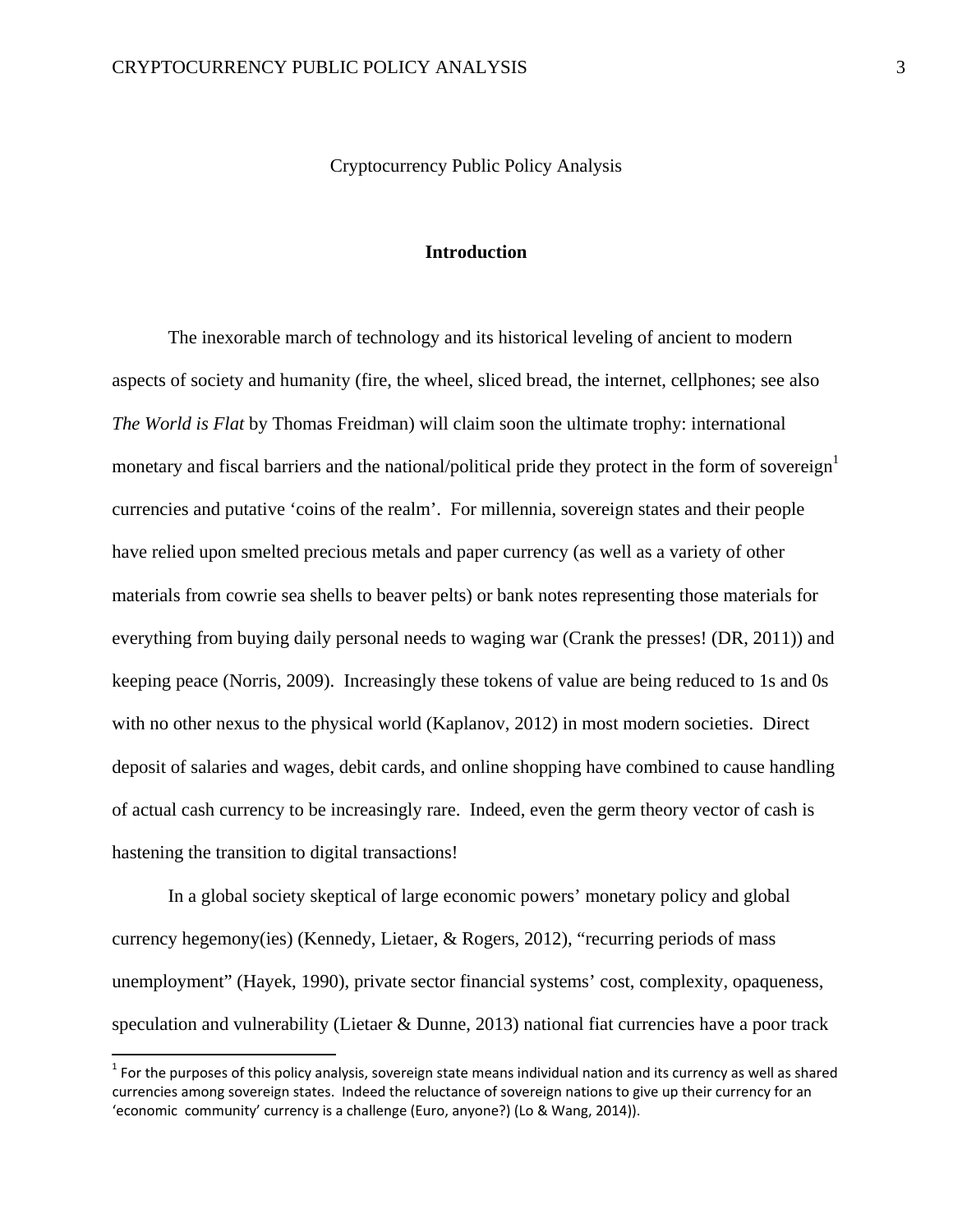Cryptocurrency Public Policy Analysis

#### **Introduction**

The inexorable march of technology and its historical leveling of ancient to modern aspects of society and humanity (fire, the wheel, sliced bread, the internet, cellphones; see also *The World is Flat* by Thomas Freidman) will claim soon the ultimate trophy: international monetary and fiscal barriers and the national/political pride they protect in the form of sovereign<sup>1</sup> currencies and putative 'coins of the realm'. For millennia, sovereign states and their people have relied upon smelted precious metals and paper currency (as well as a variety of other materials from cowrie sea shells to beaver pelts) or bank notes representing those materials for everything from buying daily personal needs to waging war (Crank the presses! (DR, 2011)) and keeping peace (Norris, 2009). Increasingly these tokens of value are being reduced to 1s and 0s with no other nexus to the physical world (Kaplanov, 2012) in most modern societies. Direct deposit of salaries and wages, debit cards, and online shopping have combined to cause handling of actual cash currency to be increasingly rare. Indeed, even the germ theory vector of cash is hastening the transition to digital transactions!

In a global society skeptical of large economic powers' monetary policy and global currency hegemony(ies) (Kennedy, Lietaer, & Rogers, 2012), "recurring periods of mass unemployment" (Hayek, 1990), private sector financial systems' cost, complexity, opaqueness, speculation and vulnerability (Lietaer & Dunne, 2013) national fiat currencies have a poor track

 $1$  For the purposes of this policy analysis, sovereign state means individual nation and its currency as well as shared currencies among sovereign states. Indeed the reluctance of sovereign nations to give up their currency for an 'economic community' currency is a challenge (Euro, anyone?) (Lo & Wang, 2014)).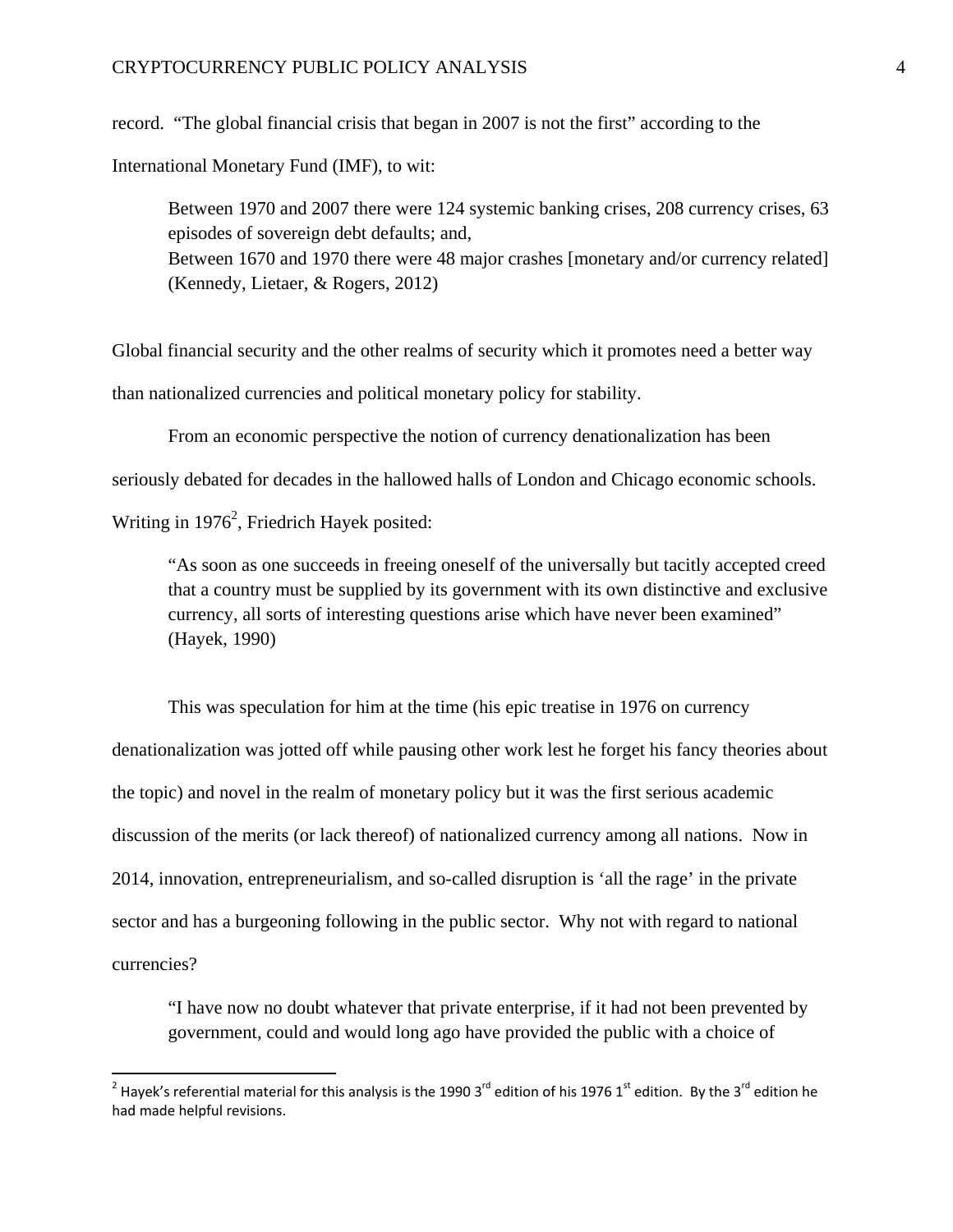record. "The global financial crisis that began in 2007 is not the first" according to the International Monetary Fund (IMF), to wit:

Between 1970 and 2007 there were 124 systemic banking crises, 208 currency crises, 63 episodes of sovereign debt defaults; and, Between 1670 and 1970 there were 48 major crashes [monetary and/or currency related] (Kennedy, Lietaer, & Rogers, 2012)

Global financial security and the other realms of security which it promotes need a better way than nationalized currencies and political monetary policy for stability.

From an economic perspective the notion of currency denationalization has been seriously debated for decades in the hallowed halls of London and Chicago economic schools. Writing in  $1976^2$ , Friedrich Hayek posited:

"As soon as one succeeds in freeing oneself of the universally but tacitly accepted creed that a country must be supplied by its government with its own distinctive and exclusive currency, all sorts of interesting questions arise which have never been examined" (Hayek, 1990)

This was speculation for him at the time (his epic treatise in 1976 on currency denationalization was jotted off while pausing other work lest he forget his fancy theories about the topic) and novel in the realm of monetary policy but it was the first serious academic discussion of the merits (or lack thereof) of nationalized currency among all nations. Now in 2014, innovation, entrepreneurialism, and so-called disruption is 'all the rage' in the private sector and has a burgeoning following in the public sector. Why not with regard to national currencies?

"I have now no doubt whatever that private enterprise, if it had not been prevented by government, could and would long ago have provided the public with a choice of

<sup>&</sup>lt;sup>2</sup> Hayek's referential material for this analysis is the 1990 3<sup>rd</sup> edition of his 1976 1<sup>st</sup> edition. By the 3<sup>rd</sup> edition he had made helpful revisions.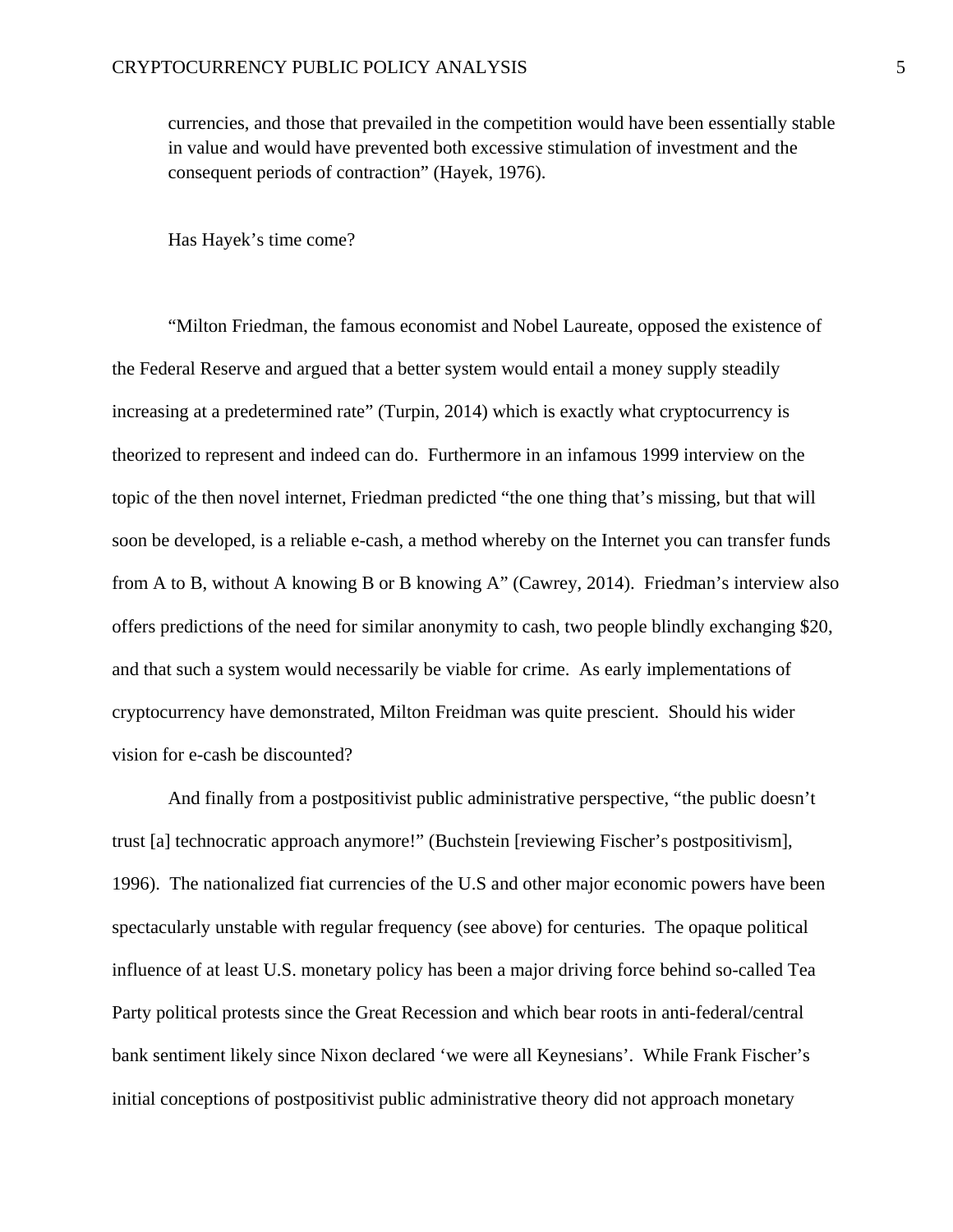currencies, and those that prevailed in the competition would have been essentially stable in value and would have prevented both excessive stimulation of investment and the consequent periods of contraction" (Hayek, 1976).

Has Hayek's time come?

"Milton Friedman, the famous economist and Nobel Laureate, opposed the existence of the Federal Reserve and argued that a better system would entail a money supply steadily increasing at a predetermined rate" (Turpin, 2014) which is exactly what cryptocurrency is theorized to represent and indeed can do. Furthermore in an infamous 1999 interview on the topic of the then novel internet, Friedman predicted "the one thing that's missing, but that will soon be developed, is a reliable e-cash, a method whereby on the Internet you can transfer funds from A to B, without A knowing B or B knowing A" (Cawrey, 2014). Friedman's interview also offers predictions of the need for similar anonymity to cash, two people blindly exchanging \$20, and that such a system would necessarily be viable for crime. As early implementations of cryptocurrency have demonstrated, Milton Freidman was quite prescient. Should his wider vision for e-cash be discounted?

And finally from a postpositivist public administrative perspective, "the public doesn't trust [a] technocratic approach anymore!" (Buchstein [reviewing Fischer's postpositivism], 1996). The nationalized fiat currencies of the U.S and other major economic powers have been spectacularly unstable with regular frequency (see above) for centuries. The opaque political influence of at least U.S. monetary policy has been a major driving force behind so-called Tea Party political protests since the Great Recession and which bear roots in anti-federal/central bank sentiment likely since Nixon declared 'we were all Keynesians'. While Frank Fischer's initial conceptions of postpositivist public administrative theory did not approach monetary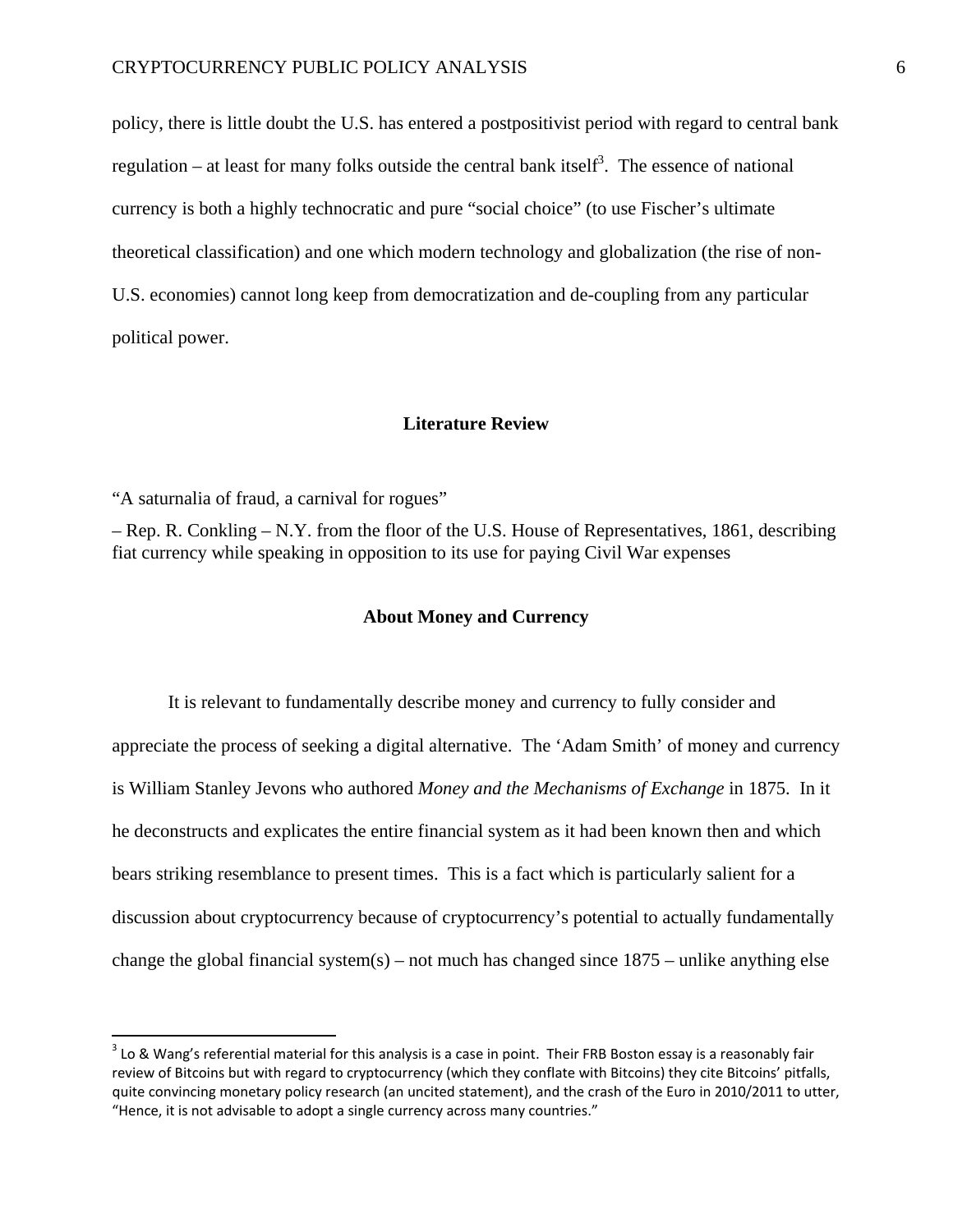policy, there is little doubt the U.S. has entered a postpositivist period with regard to central bank regulation – at least for many folks outside the central bank itself<sup>3</sup>. The essence of national currency is both a highly technocratic and pure "social choice" (to use Fischer's ultimate theoretical classification) and one which modern technology and globalization (the rise of non-U.S. economies) cannot long keep from democratization and de-coupling from any particular political power.

### **Literature Review**

"A saturnalia of fraud, a carnival for rogues"

– Rep. R. Conkling – N.Y. from the floor of the U.S. House of Representatives, 1861, describing fiat currency while speaking in opposition to its use for paying Civil War expenses

### **About Money and Currency**

It is relevant to fundamentally describe money and currency to fully consider and appreciate the process of seeking a digital alternative. The 'Adam Smith' of money and currency is William Stanley Jevons who authored *Money and the Mechanisms of Exchange* in 1875. In it he deconstructs and explicates the entire financial system as it had been known then and which bears striking resemblance to present times. This is a fact which is particularly salient for a discussion about cryptocurrency because of cryptocurrency's potential to actually fundamentally change the global financial system(s) – not much has changed since  $1875$  – unlike anything else

 $3$  Lo & Wang's referential material for this analysis is a case in point. Their FRB Boston essay is a reasonably fair review of Bitcoins but with regard to cryptocurrency (which they conflate with Bitcoins) they cite Bitcoins' pitfalls, quite convincing monetary policy research (an uncited statement), and the crash of the Euro in 2010/2011 to utter, "Hence, it is not advisable to adopt a single currency across many countries."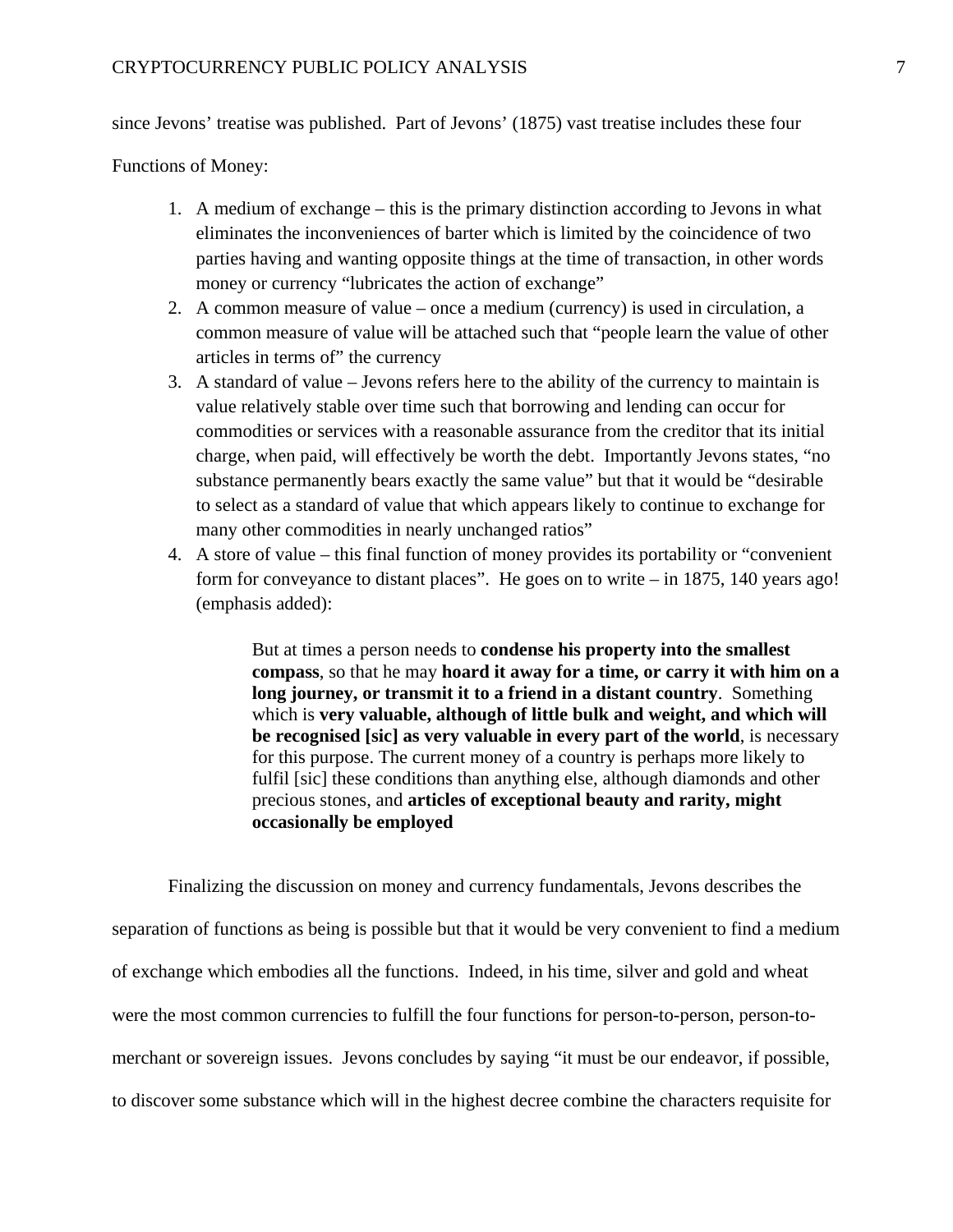since Jevons' treatise was published. Part of Jevons' (1875) vast treatise includes these four

Functions of Money:

- 1. A medium of exchange this is the primary distinction according to Jevons in what eliminates the inconveniences of barter which is limited by the coincidence of two parties having and wanting opposite things at the time of transaction, in other words money or currency "lubricates the action of exchange"
- 2. A common measure of value once a medium (currency) is used in circulation, a common measure of value will be attached such that "people learn the value of other articles in terms of" the currency
- 3. A standard of value Jevons refers here to the ability of the currency to maintain is value relatively stable over time such that borrowing and lending can occur for commodities or services with a reasonable assurance from the creditor that its initial charge, when paid, will effectively be worth the debt. Importantly Jevons states, "no substance permanently bears exactly the same value" but that it would be "desirable to select as a standard of value that which appears likely to continue to exchange for many other commodities in nearly unchanged ratios"
- 4. A store of value this final function of money provides its portability or "convenient form for conveyance to distant places". He goes on to write – in 1875, 140 years ago! (emphasis added):

But at times a person needs to **condense his property into the smallest compass**, so that he may **hoard it away for a time, or carry it with him on a long journey, or transmit it to a friend in a distant country**. Something which is **very valuable, although of little bulk and weight, and which will be recognised [sic] as very valuable in every part of the world**, is necessary for this purpose. The current money of a country is perhaps more likely to fulfil [sic] these conditions than anything else, although diamonds and other precious stones, and **articles of exceptional beauty and rarity, might occasionally be employed**

Finalizing the discussion on money and currency fundamentals, Jevons describes the separation of functions as being is possible but that it would be very convenient to find a medium of exchange which embodies all the functions. Indeed, in his time, silver and gold and wheat were the most common currencies to fulfill the four functions for person-to-person, person-tomerchant or sovereign issues. Jevons concludes by saying "it must be our endeavor, if possible, to discover some substance which will in the highest decree combine the characters requisite for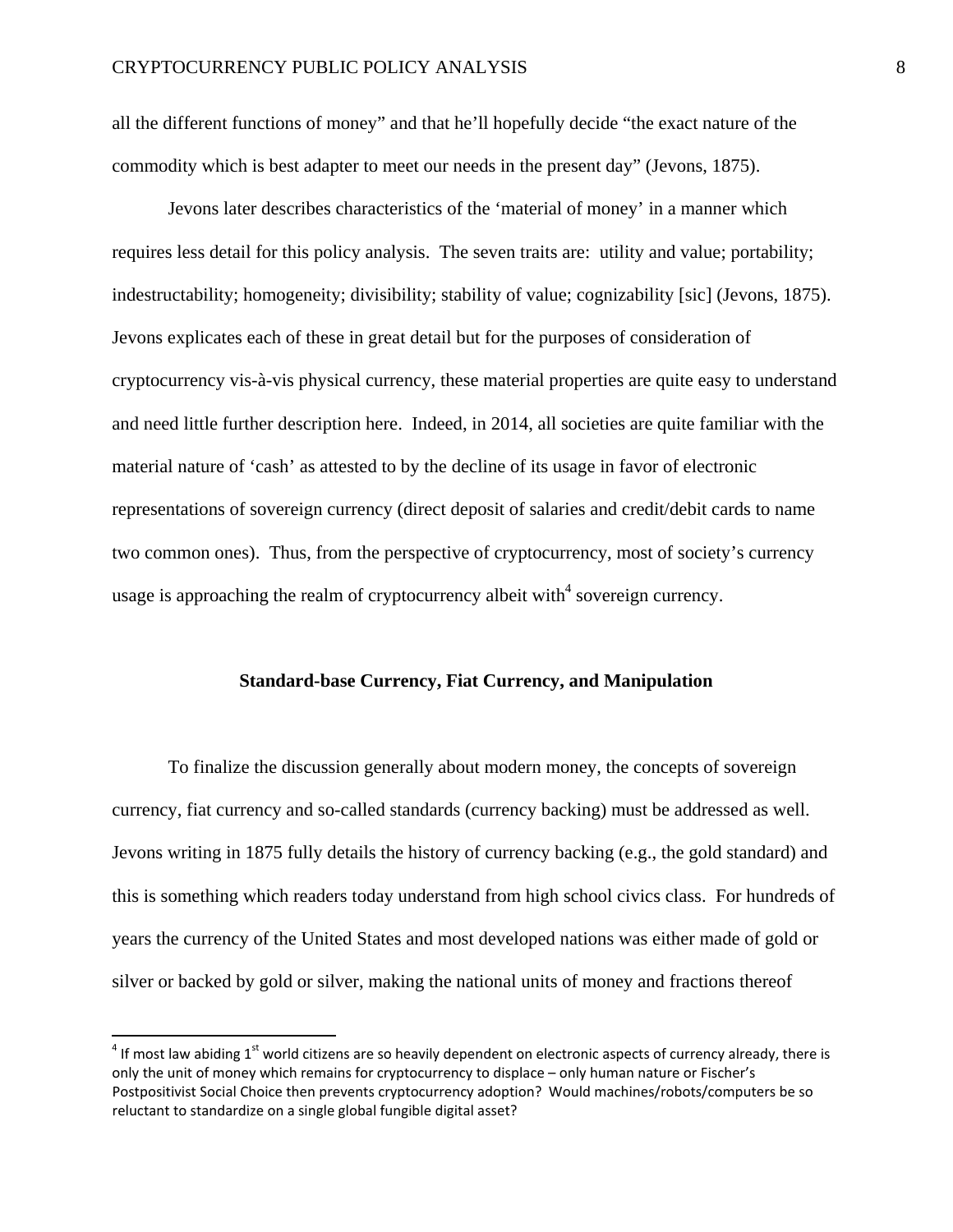all the different functions of money" and that he'll hopefully decide "the exact nature of the commodity which is best adapter to meet our needs in the present day" (Jevons, 1875).

Jevons later describes characteristics of the 'material of money' in a manner which requires less detail for this policy analysis. The seven traits are: utility and value; portability; indestructability; homogeneity; divisibility; stability of value; cognizability [sic] (Jevons, 1875). Jevons explicates each of these in great detail but for the purposes of consideration of cryptocurrency vis-à-vis physical currency, these material properties are quite easy to understand and need little further description here. Indeed, in 2014, all societies are quite familiar with the material nature of 'cash' as attested to by the decline of its usage in favor of electronic representations of sovereign currency (direct deposit of salaries and credit/debit cards to name two common ones). Thus, from the perspective of cryptocurrency, most of society's currency usage is approaching the realm of cryptocurrency albeit with<sup>4</sup> sovereign currency.

#### **Standard-base Currency, Fiat Currency, and Manipulation**

To finalize the discussion generally about modern money, the concepts of sovereign currency, fiat currency and so-called standards (currency backing) must be addressed as well. Jevons writing in 1875 fully details the history of currency backing (e.g., the gold standard) and this is something which readers today understand from high school civics class. For hundreds of years the currency of the United States and most developed nations was either made of gold or silver or backed by gold or silver, making the national units of money and fractions thereof

 $4$  If most law abiding 1<sup>st</sup> world citizens are so heavily dependent on electronic aspects of currency already, there is only the unit of money which remains for cryptocurrency to displace – only human nature or Fischer's Postpositivist Social Choice then prevents cryptocurrency adoption? Would machines/robots/computers be so reluctant to standardize on a single global fungible digital asset?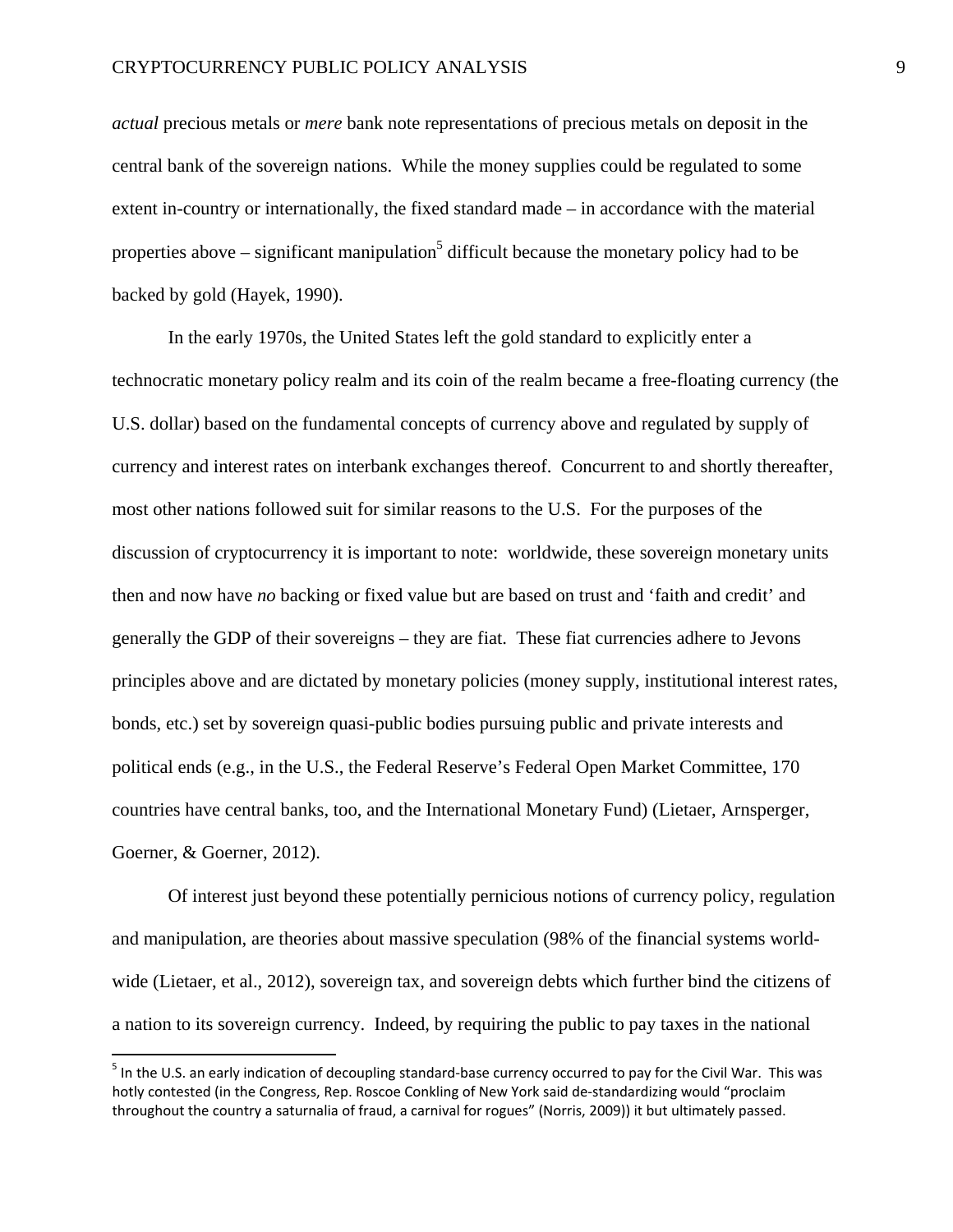*actual* precious metals or *mere* bank note representations of precious metals on deposit in the central bank of the sovereign nations. While the money supplies could be regulated to some extent in-country or internationally, the fixed standard made – in accordance with the material properties above – significant manipulation<sup>5</sup> difficult because the monetary policy had to be backed by gold (Hayek, 1990).

In the early 1970s, the United States left the gold standard to explicitly enter a technocratic monetary policy realm and its coin of the realm became a free-floating currency (the U.S. dollar) based on the fundamental concepts of currency above and regulated by supply of currency and interest rates on interbank exchanges thereof. Concurrent to and shortly thereafter, most other nations followed suit for similar reasons to the U.S. For the purposes of the discussion of cryptocurrency it is important to note: worldwide, these sovereign monetary units then and now have *no* backing or fixed value but are based on trust and 'faith and credit' and generally the GDP of their sovereigns – they are fiat. These fiat currencies adhere to Jevons principles above and are dictated by monetary policies (money supply, institutional interest rates, bonds, etc.) set by sovereign quasi-public bodies pursuing public and private interests and political ends (e.g., in the U.S., the Federal Reserve's Federal Open Market Committee, 170 countries have central banks, too, and the International Monetary Fund) (Lietaer, Arnsperger, Goerner, & Goerner, 2012).

Of interest just beyond these potentially pernicious notions of currency policy, regulation and manipulation, are theories about massive speculation (98% of the financial systems worldwide (Lietaer, et al., 2012), sovereign tax, and sovereign debts which further bind the citizens of a nation to its sovereign currency. Indeed, by requiring the public to pay taxes in the national

<sup>&</sup>lt;sup>5</sup> In the U.S. an early indication of decoupling standard-base currency occurred to pay for the Civil War. This was hotly contested (in the Congress, Rep. Roscoe Conkling of New York said de‐standardizing would "proclaim throughout the country a saturnalia of fraud, a carnival for rogues" (Norris, 2009)) it but ultimately passed.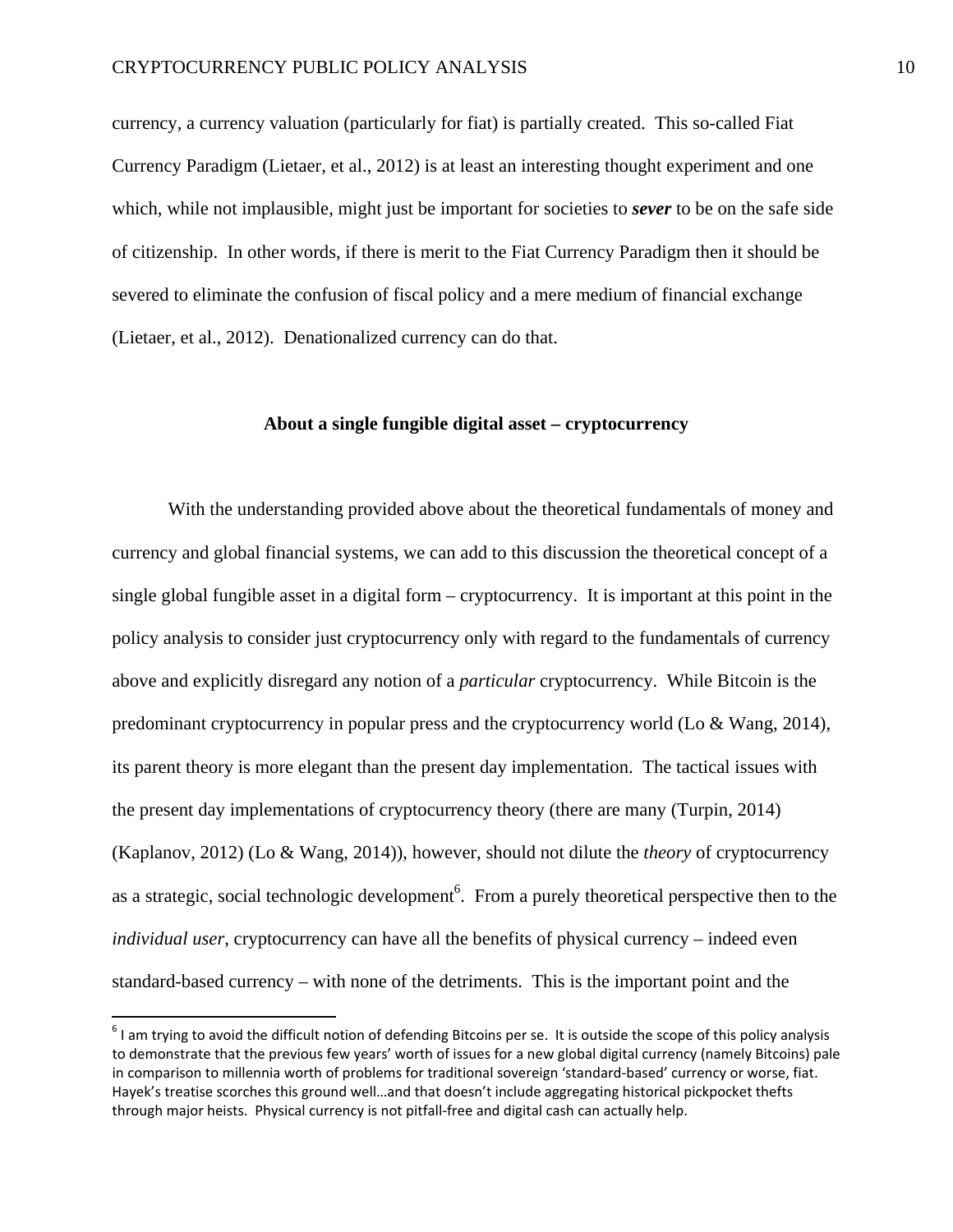currency, a currency valuation (particularly for fiat) is partially created. This so-called Fiat Currency Paradigm (Lietaer, et al., 2012) is at least an interesting thought experiment and one which, while not implausible, might just be important for societies to *sever* to be on the safe side of citizenship. In other words, if there is merit to the Fiat Currency Paradigm then it should be severed to eliminate the confusion of fiscal policy and a mere medium of financial exchange (Lietaer, et al., 2012). Denationalized currency can do that.

### **About a single fungible digital asset – cryptocurrency**

With the understanding provided above about the theoretical fundamentals of money and currency and global financial systems, we can add to this discussion the theoretical concept of a single global fungible asset in a digital form – cryptocurrency. It is important at this point in the policy analysis to consider just cryptocurrency only with regard to the fundamentals of currency above and explicitly disregard any notion of a *particular* cryptocurrency. While Bitcoin is the predominant cryptocurrency in popular press and the cryptocurrency world (Lo & Wang, 2014), its parent theory is more elegant than the present day implementation. The tactical issues with the present day implementations of cryptocurrency theory (there are many (Turpin, 2014) (Kaplanov, 2012) (Lo & Wang, 2014)), however, should not dilute the *theory* of cryptocurrency as a strategic, social technologic development<sup>6</sup>. From a purely theoretical perspective then to the *individual user*, cryptocurrency can have all the benefits of physical currency – indeed even standard-based currency – with none of the detriments. This is the important point and the

 $<sup>6</sup>$  I am trying to avoid the difficult notion of defending Bitcoins per se. It is outside the scope of this policy analysis</sup> to demonstrate that the previous few years' worth of issues for a new global digital currency (namely Bitcoins) pale in comparison to millennia worth of problems for traditional sovereign 'standard‐based' currency or worse, fiat. Hayek's treatise scorches this ground well…and that doesn't include aggregating historical pickpocket thefts through major heists. Physical currency is not pitfall‐free and digital cash can actually help.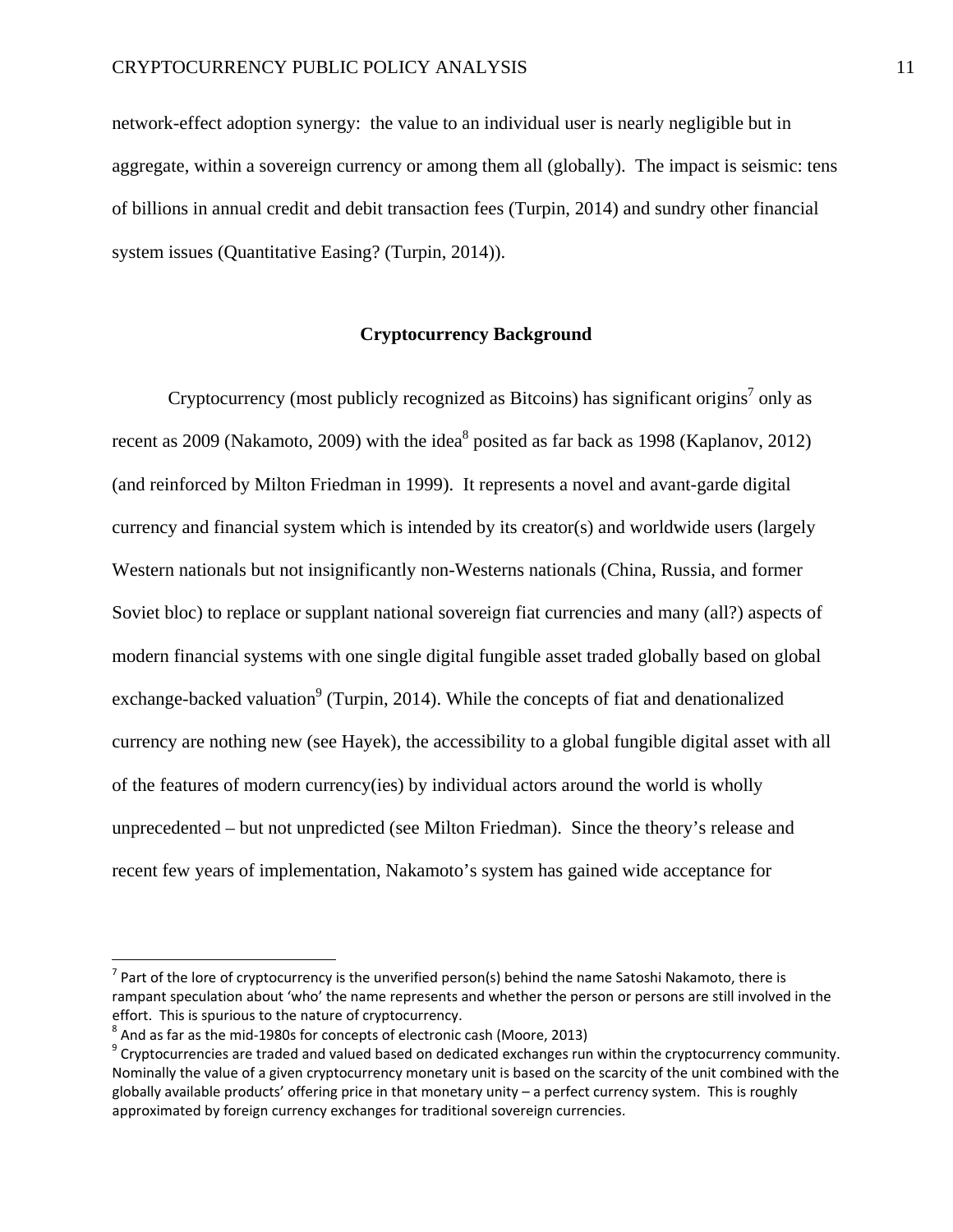network-effect adoption synergy: the value to an individual user is nearly negligible but in aggregate, within a sovereign currency or among them all (globally). The impact is seismic: tens of billions in annual credit and debit transaction fees (Turpin, 2014) and sundry other financial system issues (Quantitative Easing? (Turpin, 2014)).

## **Cryptocurrency Background**

Cryptocurrency (most publicly recognized as Bitcoins) has significant origins<sup>7</sup> only as recent as 2009 (Nakamoto, 2009) with the idea<sup>8</sup> posited as far back as 1998 (Kaplanov, 2012) (and reinforced by Milton Friedman in 1999). It represents a novel and avant-garde digital currency and financial system which is intended by its creator(s) and worldwide users (largely Western nationals but not insignificantly non-Westerns nationals (China, Russia, and former Soviet bloc) to replace or supplant national sovereign fiat currencies and many (all?) aspects of modern financial systems with one single digital fungible asset traded globally based on global exchange-backed valuation<sup>9</sup> (Turpin, 2014). While the concepts of fiat and denationalized currency are nothing new (see Hayek), the accessibility to a global fungible digital asset with all of the features of modern currency(ies) by individual actors around the world is wholly unprecedented – but not unpredicted (see Milton Friedman). Since the theory's release and recent few years of implementation, Nakamoto's system has gained wide acceptance for

<sup>&</sup>lt;sup>7</sup> Part of the lore of cryptocurrency is the unverified person(s) behind the name Satoshi Nakamoto, there is rampant speculation about 'who' the name represents and whether the person or persons are still involved in the effort. This is spurious to the nature of cryptocurrency.<br><sup>8</sup> And as far as the mid-1980s for concepts of electronic cash (Moore, 2013)<br><sup>9</sup> Cryptocurrencies are traded and valued based on dedicated exchanges run within the

Nominally the value of a given cryptocurrency monetary unit is based on the scarcity of the unit combined with the globally available products' offering price in that monetary unity – a perfect currency system. This is roughly approximated by foreign currency exchanges for traditional sovereign currencies.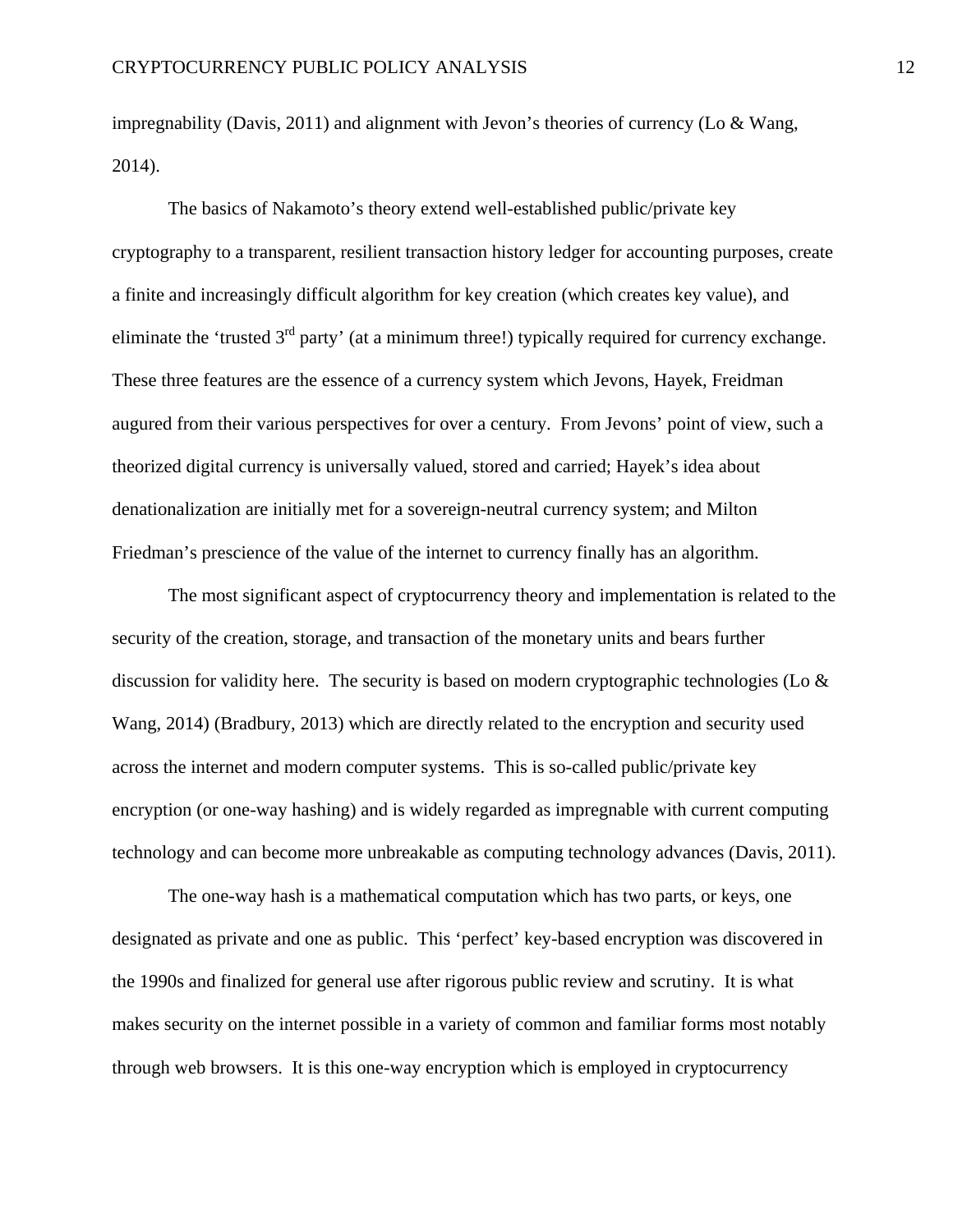impregnability (Davis, 2011) and alignment with Jevon's theories of currency (Lo  $\&$  Wang, 2014).

The basics of Nakamoto's theory extend well-established public/private key cryptography to a transparent, resilient transaction history ledger for accounting purposes, create a finite and increasingly difficult algorithm for key creation (which creates key value), and eliminate the 'trusted  $3<sup>rd</sup>$  party' (at a minimum three!) typically required for currency exchange. These three features are the essence of a currency system which Jevons, Hayek, Freidman augured from their various perspectives for over a century. From Jevons' point of view, such a theorized digital currency is universally valued, stored and carried; Hayek's idea about denationalization are initially met for a sovereign-neutral currency system; and Milton Friedman's prescience of the value of the internet to currency finally has an algorithm.

The most significant aspect of cryptocurrency theory and implementation is related to the security of the creation, storage, and transaction of the monetary units and bears further discussion for validity here. The security is based on modern cryptographic technologies (Lo & Wang, 2014) (Bradbury, 2013) which are directly related to the encryption and security used across the internet and modern computer systems. This is so-called public/private key encryption (or one-way hashing) and is widely regarded as impregnable with current computing technology and can become more unbreakable as computing technology advances (Davis, 2011).

The one-way hash is a mathematical computation which has two parts, or keys, one designated as private and one as public. This 'perfect' key-based encryption was discovered in the 1990s and finalized for general use after rigorous public review and scrutiny. It is what makes security on the internet possible in a variety of common and familiar forms most notably through web browsers. It is this one-way encryption which is employed in cryptocurrency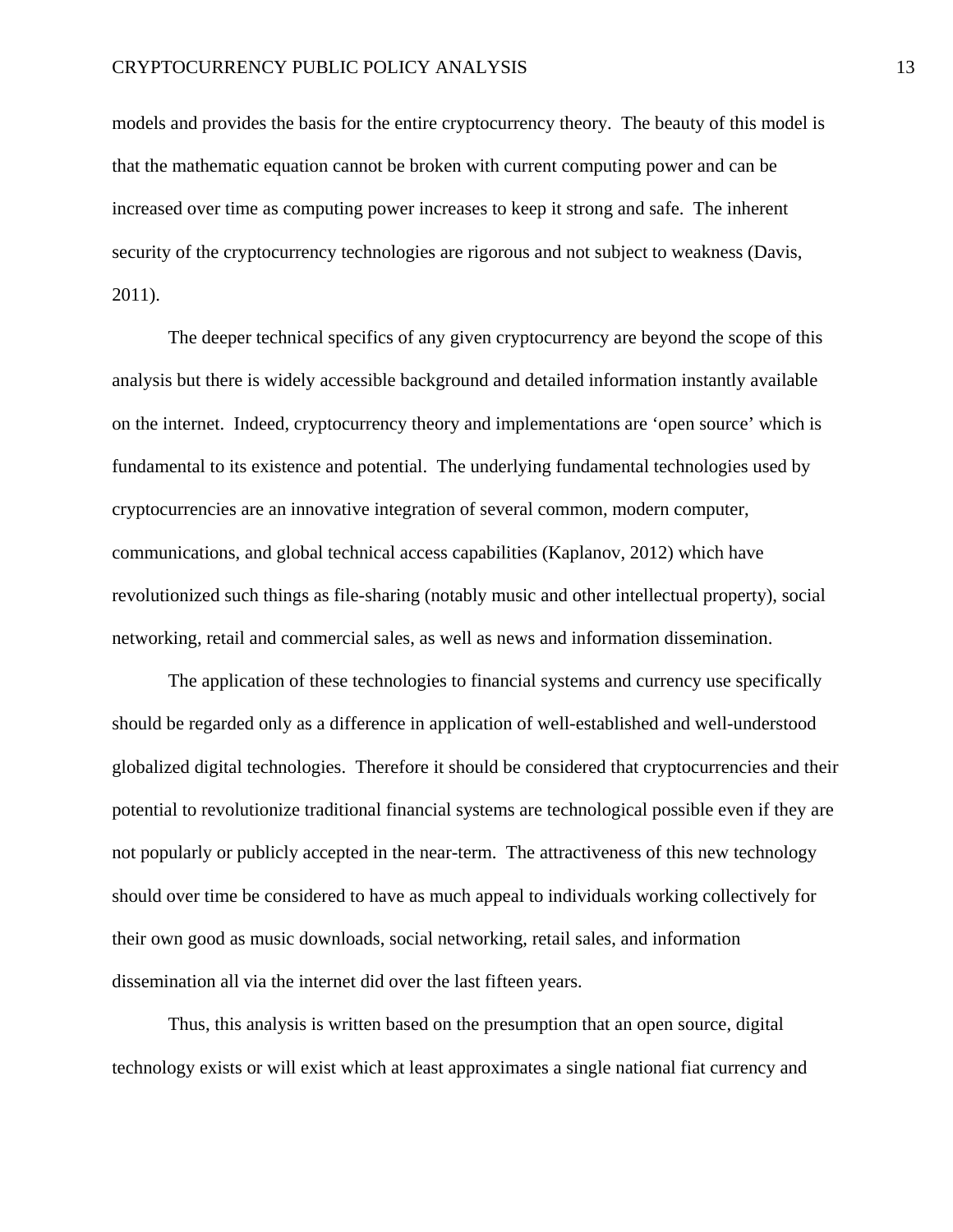models and provides the basis for the entire cryptocurrency theory. The beauty of this model is that the mathematic equation cannot be broken with current computing power and can be increased over time as computing power increases to keep it strong and safe. The inherent security of the cryptocurrency technologies are rigorous and not subject to weakness (Davis, 2011).

The deeper technical specifics of any given cryptocurrency are beyond the scope of this analysis but there is widely accessible background and detailed information instantly available on the internet. Indeed, cryptocurrency theory and implementations are 'open source' which is fundamental to its existence and potential. The underlying fundamental technologies used by cryptocurrencies are an innovative integration of several common, modern computer, communications, and global technical access capabilities (Kaplanov, 2012) which have revolutionized such things as file-sharing (notably music and other intellectual property), social networking, retail and commercial sales, as well as news and information dissemination.

The application of these technologies to financial systems and currency use specifically should be regarded only as a difference in application of well-established and well-understood globalized digital technologies. Therefore it should be considered that cryptocurrencies and their potential to revolutionize traditional financial systems are technological possible even if they are not popularly or publicly accepted in the near-term. The attractiveness of this new technology should over time be considered to have as much appeal to individuals working collectively for their own good as music downloads, social networking, retail sales, and information dissemination all via the internet did over the last fifteen years.

Thus, this analysis is written based on the presumption that an open source, digital technology exists or will exist which at least approximates a single national fiat currency and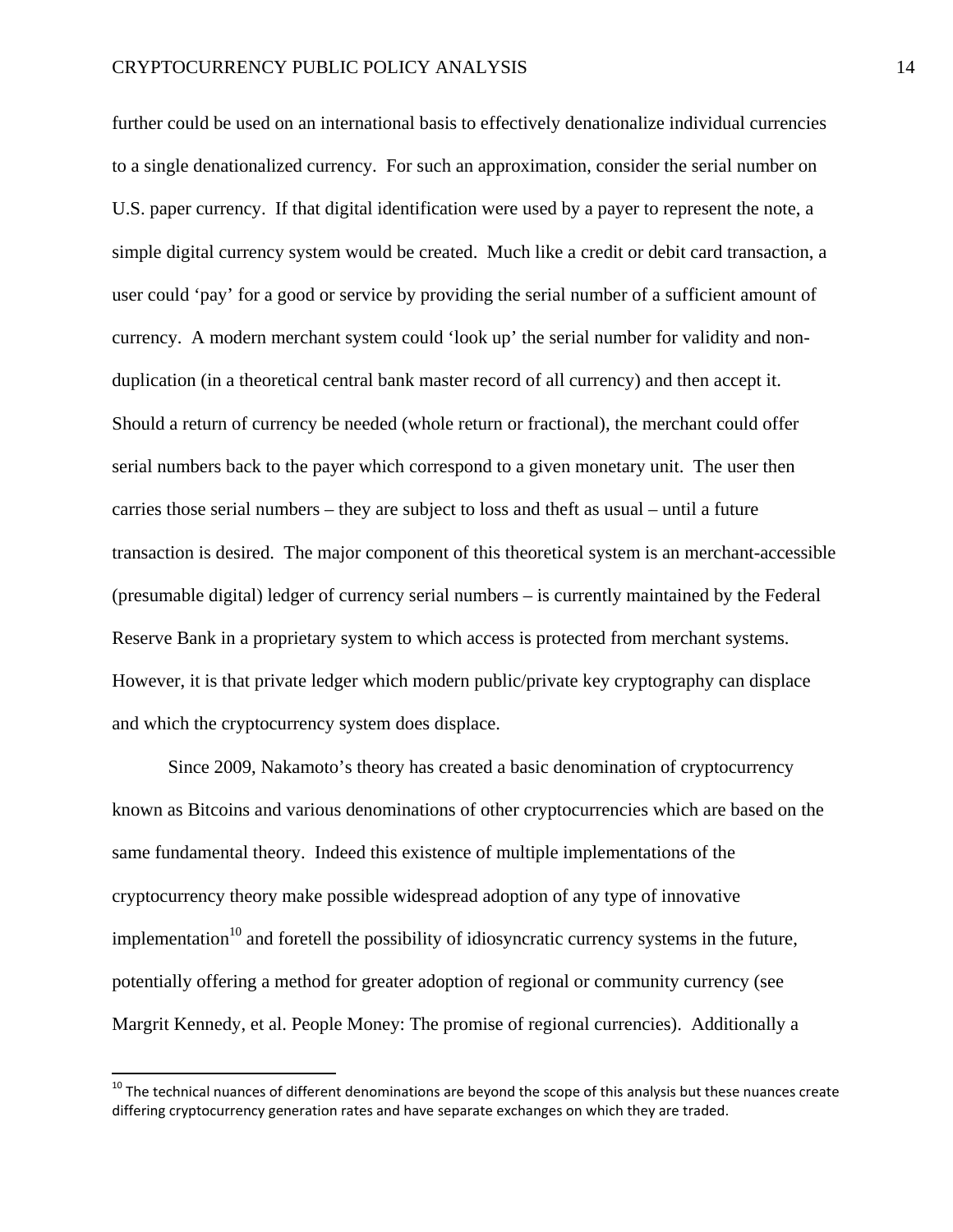further could be used on an international basis to effectively denationalize individual currencies to a single denationalized currency. For such an approximation, consider the serial number on U.S. paper currency. If that digital identification were used by a payer to represent the note, a simple digital currency system would be created. Much like a credit or debit card transaction, a user could 'pay' for a good or service by providing the serial number of a sufficient amount of currency. A modern merchant system could 'look up' the serial number for validity and nonduplication (in a theoretical central bank master record of all currency) and then accept it. Should a return of currency be needed (whole return or fractional), the merchant could offer serial numbers back to the payer which correspond to a given monetary unit. The user then carries those serial numbers – they are subject to loss and theft as usual – until a future transaction is desired. The major component of this theoretical system is an merchant-accessible (presumable digital) ledger of currency serial numbers – is currently maintained by the Federal Reserve Bank in a proprietary system to which access is protected from merchant systems. However, it is that private ledger which modern public/private key cryptography can displace and which the cryptocurrency system does displace.

Since 2009, Nakamoto's theory has created a basic denomination of cryptocurrency known as Bitcoins and various denominations of other cryptocurrencies which are based on the same fundamental theory. Indeed this existence of multiple implementations of the cryptocurrency theory make possible widespread adoption of any type of innovative implementation<sup>10</sup> and foretell the possibility of idiosyncratic currency systems in the future, potentially offering a method for greater adoption of regional or community currency (see Margrit Kennedy, et al. People Money: The promise of regional currencies). Additionally a

 $^{10}$  The technical nuances of different denominations are beyond the scope of this analysis but these nuances create differing cryptocurrency generation rates and have separate exchanges on which they are traded.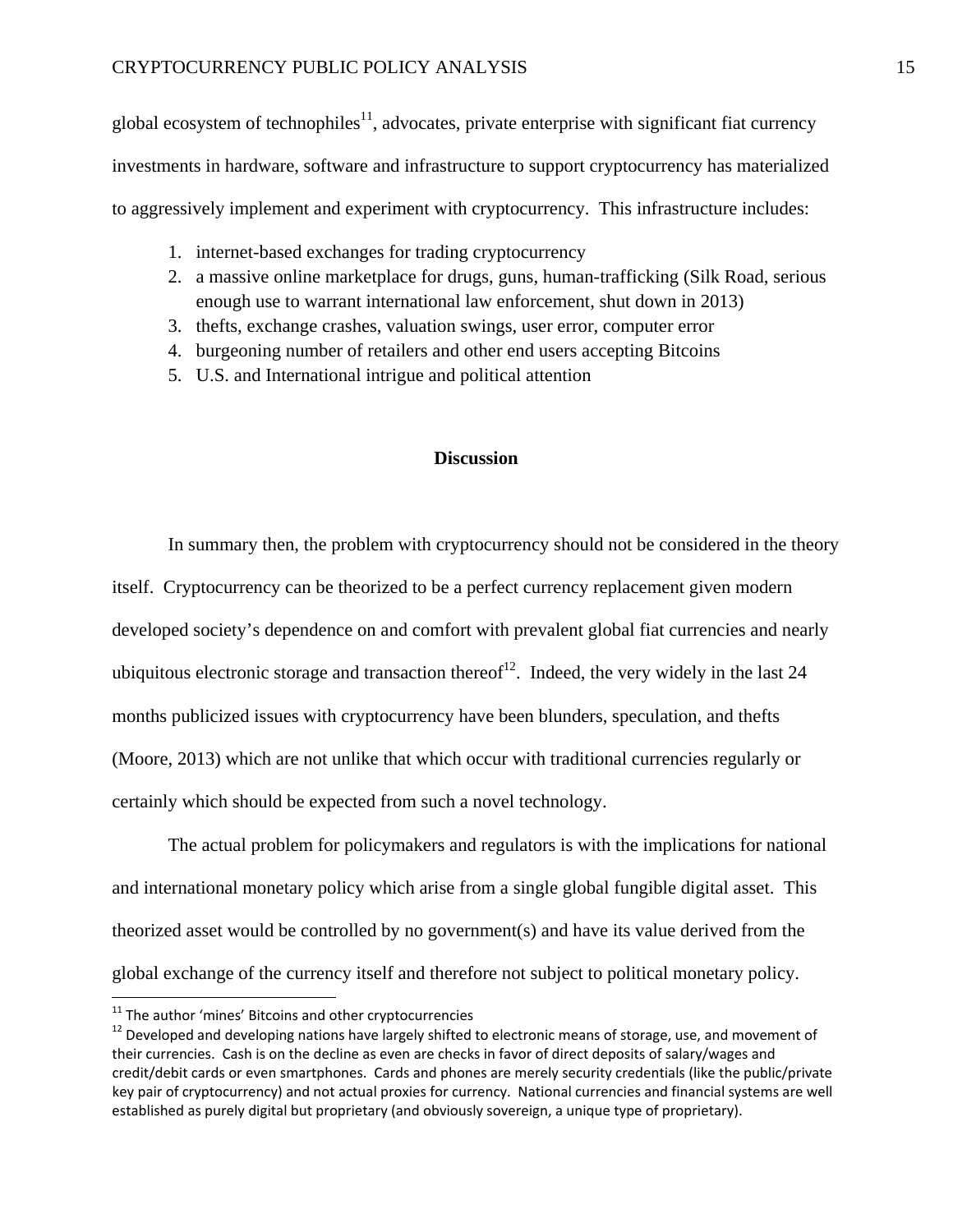global ecosystem of technophiles<sup>11</sup>, advocates, private enterprise with significant fiat currency investments in hardware, software and infrastructure to support cryptocurrency has materialized to aggressively implement and experiment with cryptocurrency. This infrastructure includes:

- 1. internet-based exchanges for trading cryptocurrency
- 2. a massive online marketplace for drugs, guns, human-trafficking (Silk Road, serious enough use to warrant international law enforcement, shut down in 2013)
- 3. thefts, exchange crashes, valuation swings, user error, computer error
- 4. burgeoning number of retailers and other end users accepting Bitcoins
- 5. U.S. and International intrigue and political attention

## **Discussion**

In summary then, the problem with cryptocurrency should not be considered in the theory itself. Cryptocurrency can be theorized to be a perfect currency replacement given modern developed society's dependence on and comfort with prevalent global fiat currencies and nearly ubiquitous electronic storage and transaction thereof<sup>12</sup>. Indeed, the very widely in the last 24 months publicized issues with cryptocurrency have been blunders, speculation, and thefts (Moore, 2013) which are not unlike that which occur with traditional currencies regularly or certainly which should be expected from such a novel technology.

The actual problem for policymakers and regulators is with the implications for national and international monetary policy which arise from a single global fungible digital asset. This theorized asset would be controlled by no government(s) and have its value derived from the global exchange of the currency itself and therefore not subject to political monetary policy.

<sup>&</sup>lt;sup>11</sup> The author 'mines' Bitcoins and other cryptocurrencies

<sup>&</sup>lt;sup>12</sup> Developed and developing nations have largely shifted to electronic means of storage, use, and movement of their currencies. Cash is on the decline as even are checks in favor of direct deposits of salary/wages and credit/debit cards or even smartphones. Cards and phones are merely security credentials (like the public/private key pair of cryptocurrency) and not actual proxies for currency. National currencies and financial systems are well established as purely digital but proprietary (and obviously sovereign, a unique type of proprietary).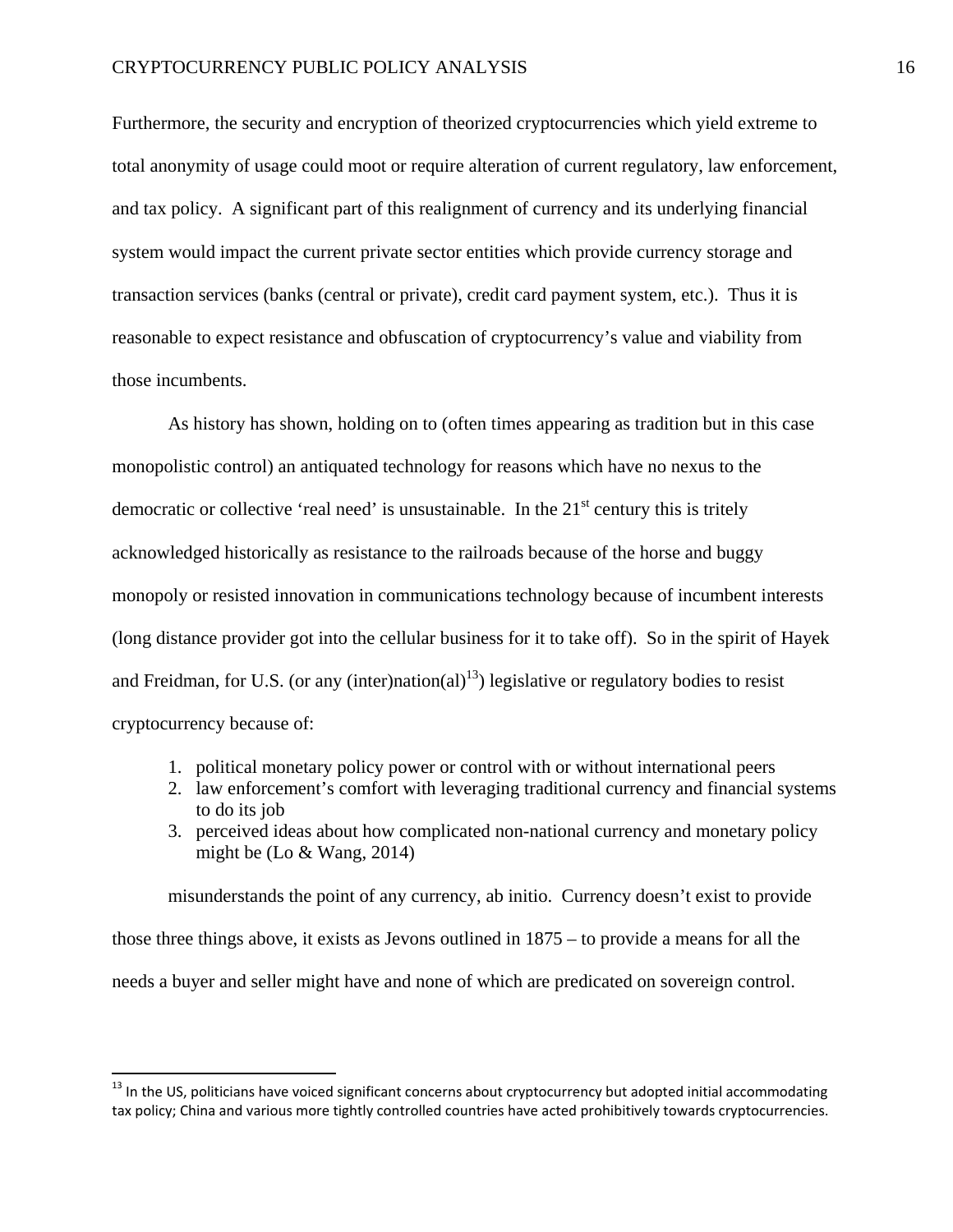Furthermore, the security and encryption of theorized cryptocurrencies which yield extreme to total anonymity of usage could moot or require alteration of current regulatory, law enforcement, and tax policy. A significant part of this realignment of currency and its underlying financial system would impact the current private sector entities which provide currency storage and transaction services (banks (central or private), credit card payment system, etc.). Thus it is reasonable to expect resistance and obfuscation of cryptocurrency's value and viability from those incumbents.

As history has shown, holding on to (often times appearing as tradition but in this case monopolistic control) an antiquated technology for reasons which have no nexus to the democratic or collective 'real need' is unsustainable. In the  $21<sup>st</sup>$  century this is tritely acknowledged historically as resistance to the railroads because of the horse and buggy monopoly or resisted innovation in communications technology because of incumbent interests (long distance provider got into the cellular business for it to take off). So in the spirit of Hayek and Freidman, for U.S. (or any (inter)nation(al)<sup>13</sup>) legislative or regulatory bodies to resist cryptocurrency because of:

- 1. political monetary policy power or control with or without international peers
- 2. law enforcement's comfort with leveraging traditional currency and financial systems to do its job
- 3. perceived ideas about how complicated non-national currency and monetary policy might be (Lo & Wang, 2014)

 misunderstands the point of any currency, ab initio. Currency doesn't exist to provide those three things above, it exists as Jevons outlined in 1875 – to provide a means for all the needs a buyer and seller might have and none of which are predicated on sovereign control.

 $^{13}$  In the US, politicians have voiced significant concerns about cryptocurrency but adopted initial accommodating tax policy; China and various more tightly controlled countries have acted prohibitively towards cryptocurrencies.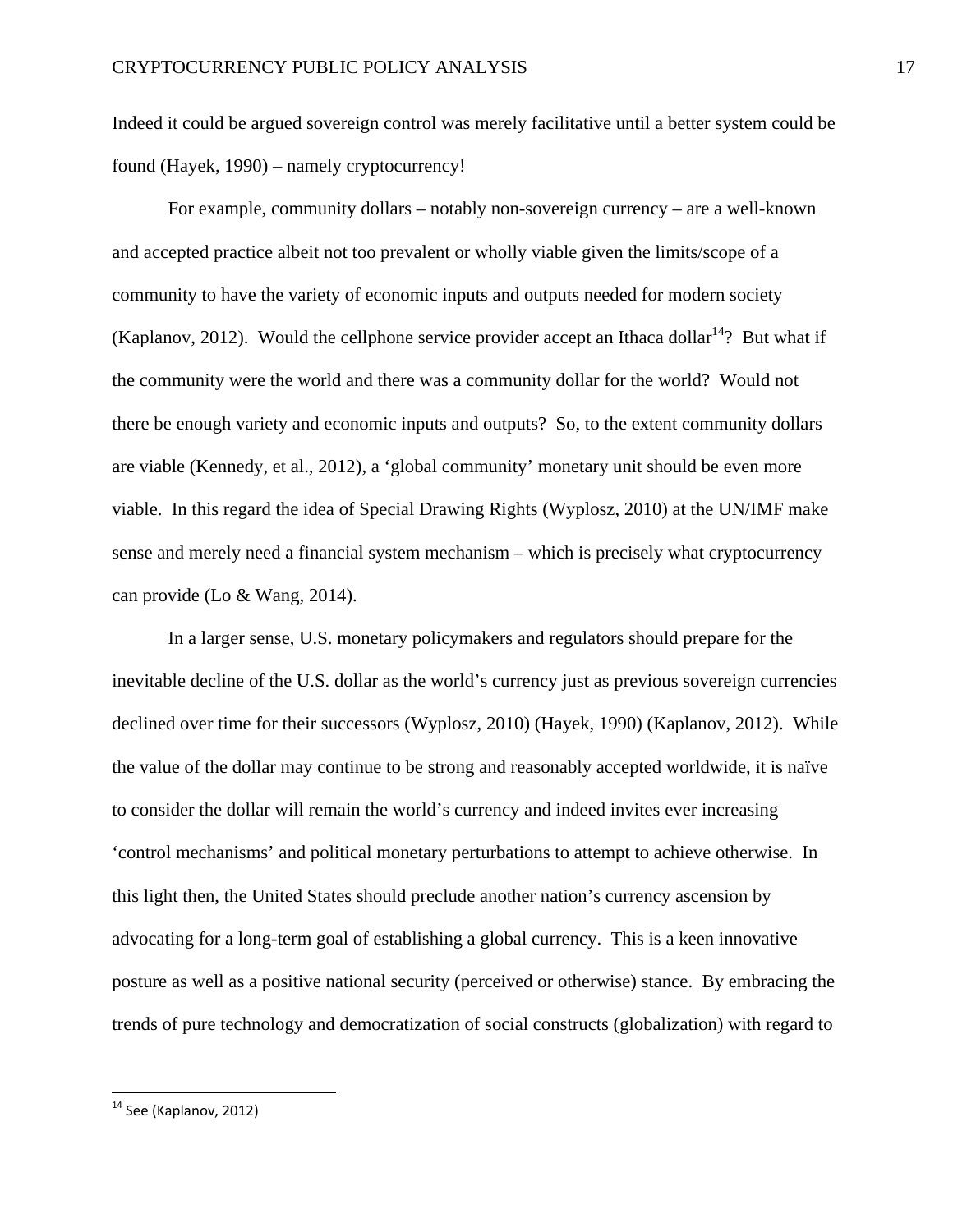Indeed it could be argued sovereign control was merely facilitative until a better system could be found (Hayek, 1990) – namely cryptocurrency!

For example, community dollars – notably non-sovereign currency – are a well-known and accepted practice albeit not too prevalent or wholly viable given the limits/scope of a community to have the variety of economic inputs and outputs needed for modern society (Kaplanov, 2012). Would the cellphone service provider accept an Ithaca dollar<sup>14</sup>? But what if the community were the world and there was a community dollar for the world? Would not there be enough variety and economic inputs and outputs? So, to the extent community dollars are viable (Kennedy, et al., 2012), a 'global community' monetary unit should be even more viable. In this regard the idea of Special Drawing Rights (Wyplosz, 2010) at the UN/IMF make sense and merely need a financial system mechanism – which is precisely what cryptocurrency can provide (Lo & Wang, 2014).

In a larger sense, U.S. monetary policymakers and regulators should prepare for the inevitable decline of the U.S. dollar as the world's currency just as previous sovereign currencies declined over time for their successors (Wyplosz, 2010) (Hayek, 1990) (Kaplanov, 2012). While the value of the dollar may continue to be strong and reasonably accepted worldwide, it is naïve to consider the dollar will remain the world's currency and indeed invites ever increasing 'control mechanisms' and political monetary perturbations to attempt to achieve otherwise. In this light then, the United States should preclude another nation's currency ascension by advocating for a long-term goal of establishing a global currency. This is a keen innovative posture as well as a positive national security (perceived or otherwise) stance. By embracing the trends of pure technology and democratization of social constructs (globalization) with regard to

<sup>&</sup>lt;sup>14</sup> See (Kaplanov, 2012)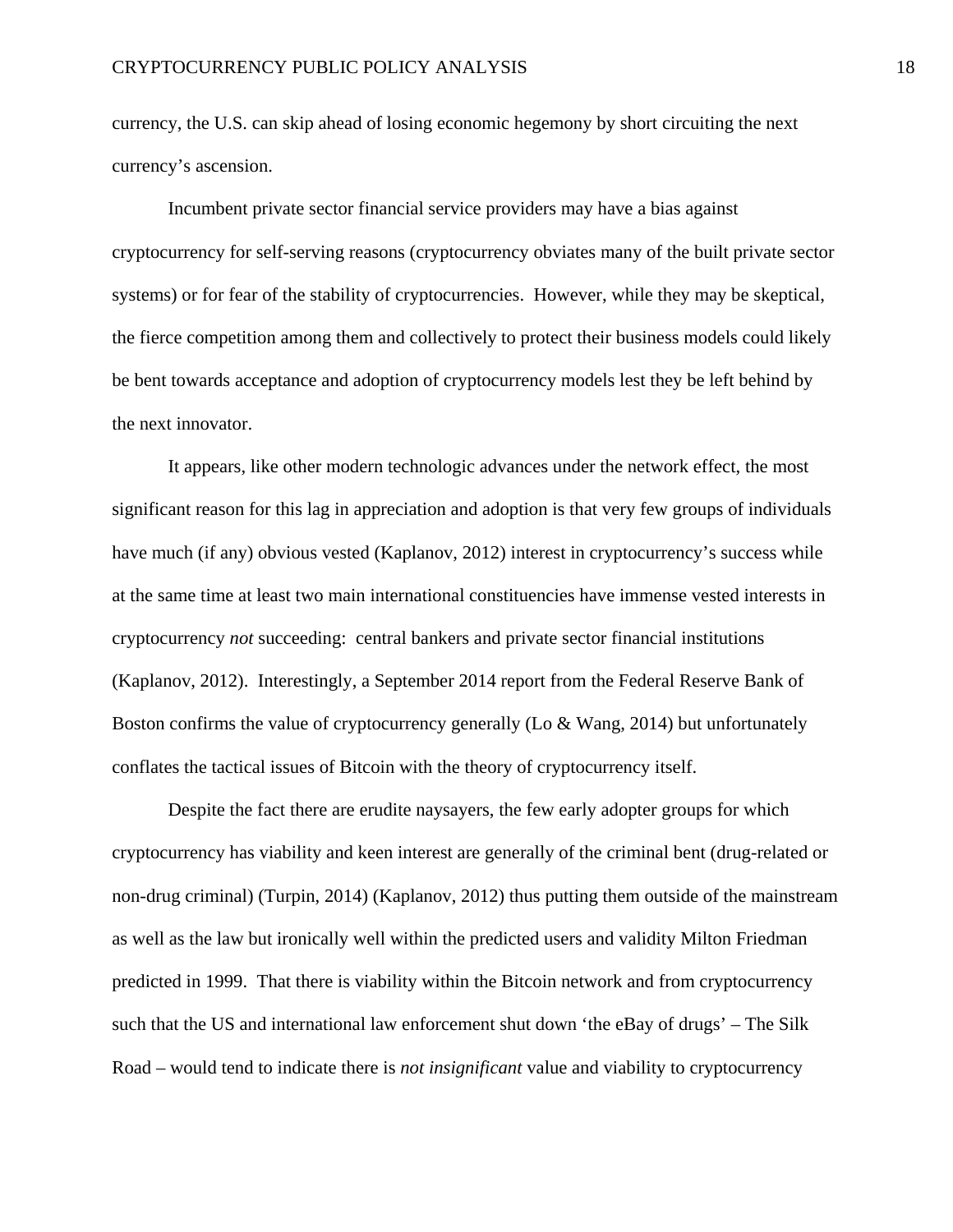currency, the U.S. can skip ahead of losing economic hegemony by short circuiting the next currency's ascension.

Incumbent private sector financial service providers may have a bias against cryptocurrency for self-serving reasons (cryptocurrency obviates many of the built private sector systems) or for fear of the stability of cryptocurrencies. However, while they may be skeptical, the fierce competition among them and collectively to protect their business models could likely be bent towards acceptance and adoption of cryptocurrency models lest they be left behind by the next innovator.

It appears, like other modern technologic advances under the network effect, the most significant reason for this lag in appreciation and adoption is that very few groups of individuals have much (if any) obvious vested (Kaplanov, 2012) interest in cryptocurrency's success while at the same time at least two main international constituencies have immense vested interests in cryptocurrency *not* succeeding: central bankers and private sector financial institutions (Kaplanov, 2012). Interestingly, a September 2014 report from the Federal Reserve Bank of Boston confirms the value of cryptocurrency generally (Lo  $\&$  Wang, 2014) but unfortunately conflates the tactical issues of Bitcoin with the theory of cryptocurrency itself.

Despite the fact there are erudite naysayers, the few early adopter groups for which cryptocurrency has viability and keen interest are generally of the criminal bent (drug-related or non-drug criminal) (Turpin, 2014) (Kaplanov, 2012) thus putting them outside of the mainstream as well as the law but ironically well within the predicted users and validity Milton Friedman predicted in 1999. That there is viability within the Bitcoin network and from cryptocurrency such that the US and international law enforcement shut down 'the eBay of drugs' – The Silk Road – would tend to indicate there is *not insignificant* value and viability to cryptocurrency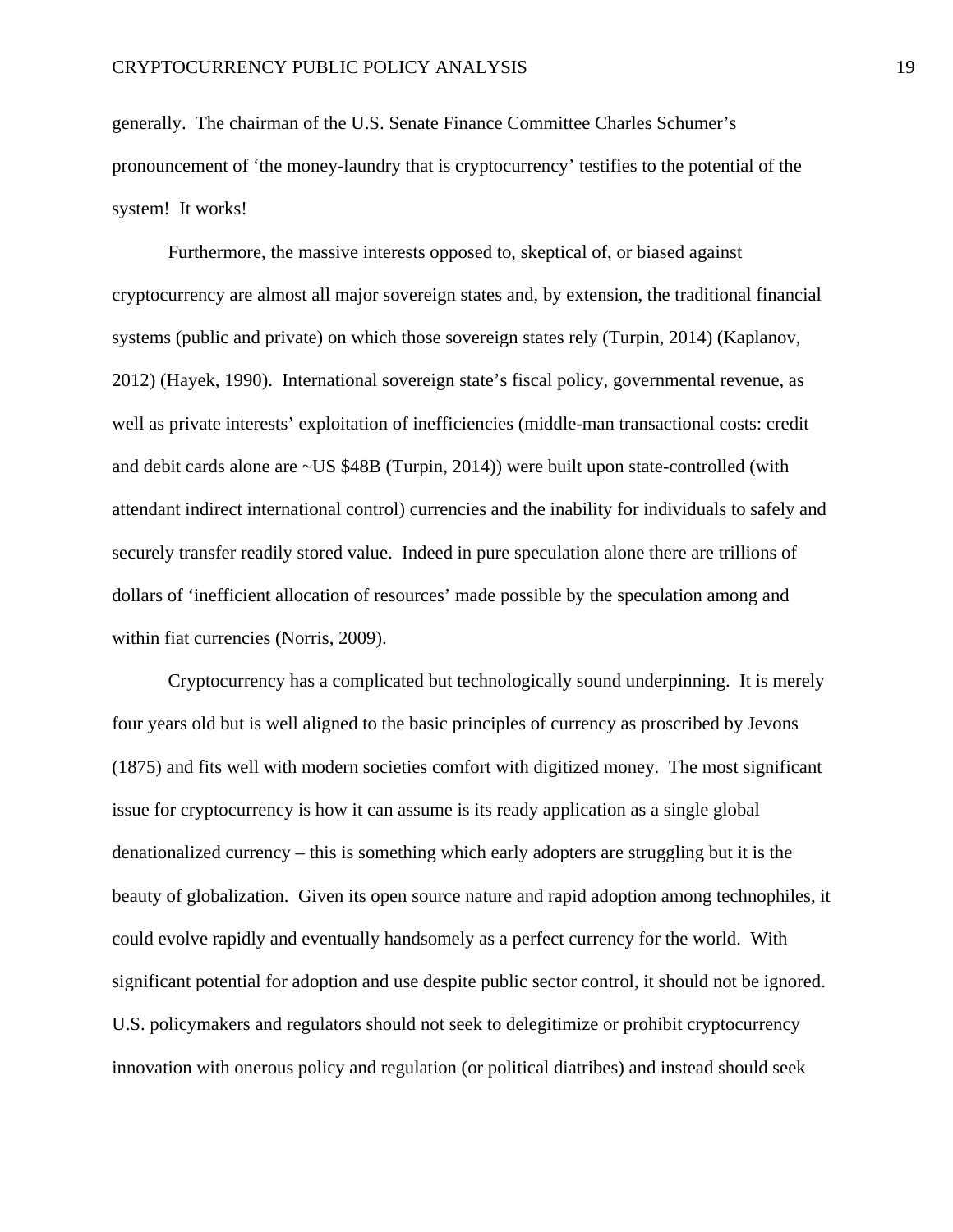generally. The chairman of the U.S. Senate Finance Committee Charles Schumer's pronouncement of 'the money-laundry that is cryptocurrency' testifies to the potential of the system! It works!

Furthermore, the massive interests opposed to, skeptical of, or biased against cryptocurrency are almost all major sovereign states and, by extension, the traditional financial systems (public and private) on which those sovereign states rely (Turpin, 2014) (Kaplanov, 2012) (Hayek, 1990). International sovereign state's fiscal policy, governmental revenue, as well as private interests' exploitation of inefficiencies (middle-man transactional costs: credit and debit cards alone are ~US \$48B (Turpin, 2014)) were built upon state-controlled (with attendant indirect international control) currencies and the inability for individuals to safely and securely transfer readily stored value. Indeed in pure speculation alone there are trillions of dollars of 'inefficient allocation of resources' made possible by the speculation among and within fiat currencies (Norris, 2009).

Cryptocurrency has a complicated but technologically sound underpinning. It is merely four years old but is well aligned to the basic principles of currency as proscribed by Jevons (1875) and fits well with modern societies comfort with digitized money. The most significant issue for cryptocurrency is how it can assume is its ready application as a single global denationalized currency – this is something which early adopters are struggling but it is the beauty of globalization. Given its open source nature and rapid adoption among technophiles, it could evolve rapidly and eventually handsomely as a perfect currency for the world. With significant potential for adoption and use despite public sector control, it should not be ignored. U.S. policymakers and regulators should not seek to delegitimize or prohibit cryptocurrency innovation with onerous policy and regulation (or political diatribes) and instead should seek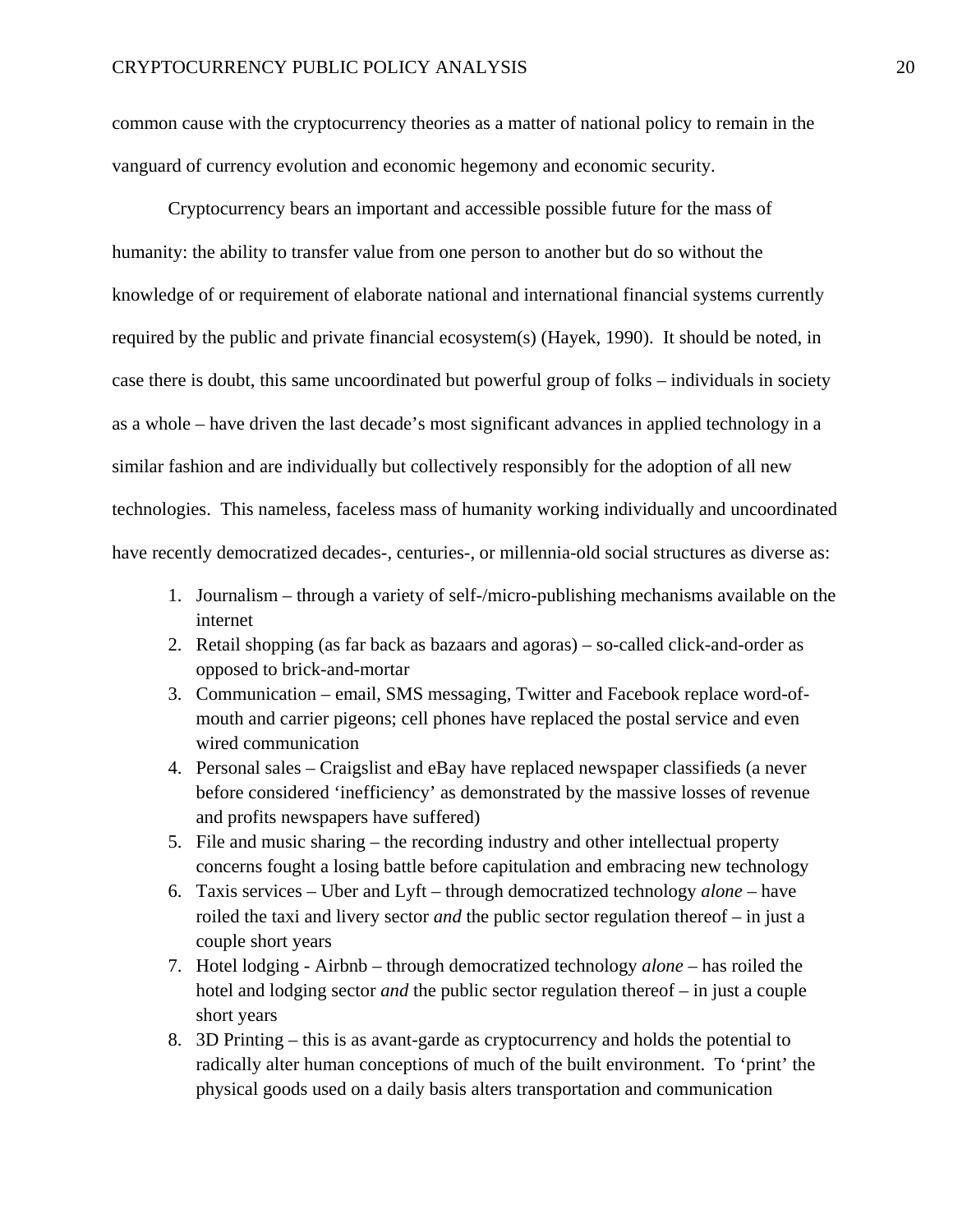common cause with the cryptocurrency theories as a matter of national policy to remain in the vanguard of currency evolution and economic hegemony and economic security.

Cryptocurrency bears an important and accessible possible future for the mass of humanity: the ability to transfer value from one person to another but do so without the knowledge of or requirement of elaborate national and international financial systems currently required by the public and private financial ecosystem(s) (Hayek, 1990). It should be noted, in case there is doubt, this same uncoordinated but powerful group of folks – individuals in society as a whole – have driven the last decade's most significant advances in applied technology in a similar fashion and are individually but collectively responsibly for the adoption of all new technologies. This nameless, faceless mass of humanity working individually and uncoordinated have recently democratized decades-, centuries-, or millennia-old social structures as diverse as:

- 1. Journalism through a variety of self-/micro-publishing mechanisms available on the internet
- 2. Retail shopping (as far back as bazaars and agoras) so-called click-and-order as opposed to brick-and-mortar
- 3. Communication email, SMS messaging, Twitter and Facebook replace word-ofmouth and carrier pigeons; cell phones have replaced the postal service and even wired communication
- 4. Personal sales Craigslist and eBay have replaced newspaper classifieds (a never before considered 'inefficiency' as demonstrated by the massive losses of revenue and profits newspapers have suffered)
- 5. File and music sharing the recording industry and other intellectual property concerns fought a losing battle before capitulation and embracing new technology
- 6. Taxis services Uber and Lyft through democratized technology *alone* have roiled the taxi and livery sector *and* the public sector regulation thereof – in just a couple short years
- 7. Hotel lodging Airbnb through democratized technology *alone* has roiled the hotel and lodging sector *and* the public sector regulation thereof – in just a couple short years
- 8. 3D Printing this is as avant-garde as cryptocurrency and holds the potential to radically alter human conceptions of much of the built environment. To 'print' the physical goods used on a daily basis alters transportation and communication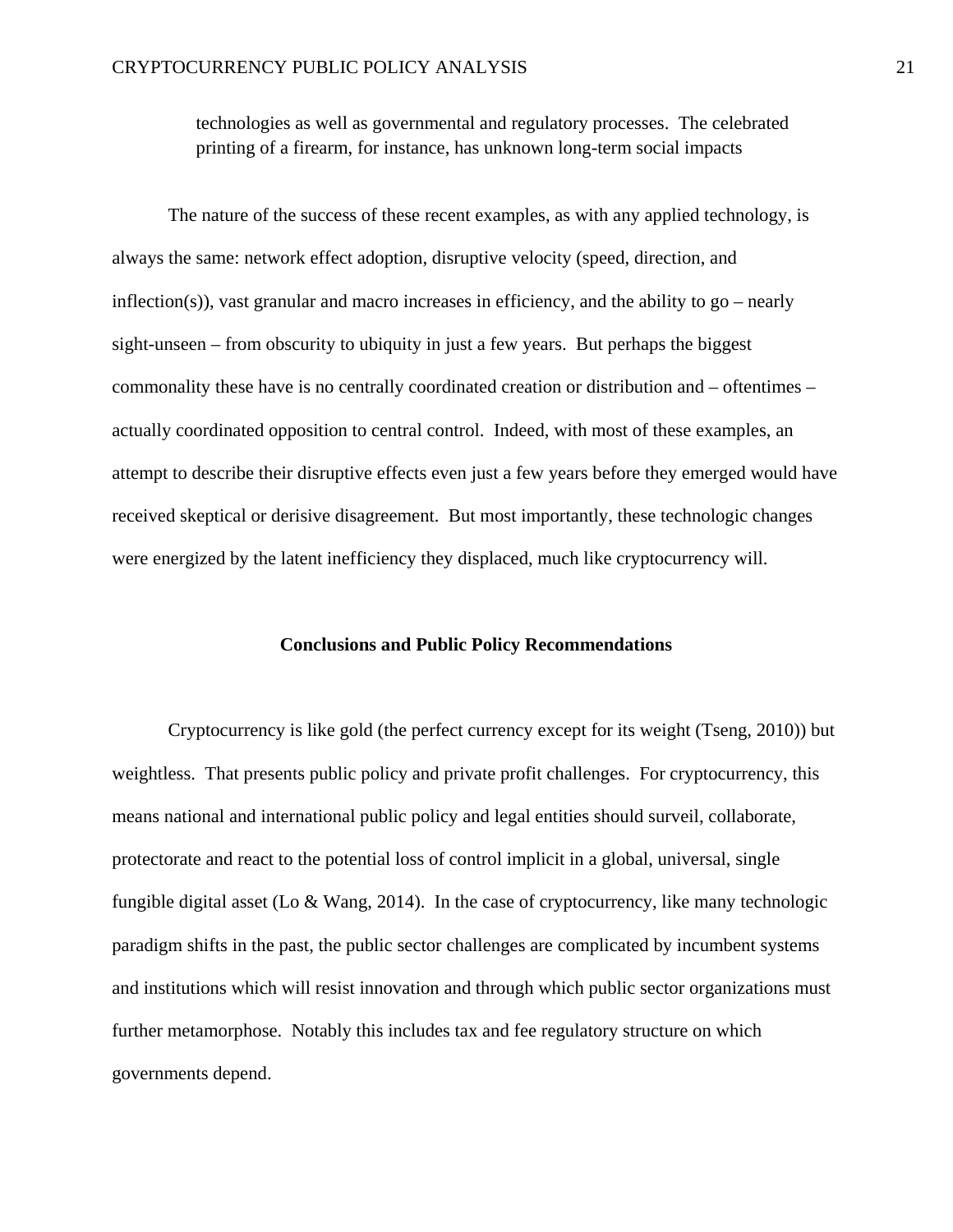technologies as well as governmental and regulatory processes. The celebrated printing of a firearm, for instance, has unknown long-term social impacts

The nature of the success of these recent examples, as with any applied technology, is always the same: network effect adoption, disruptive velocity (speed, direction, and inflection(s)), vast granular and macro increases in efficiency, and the ability to go – nearly sight-unseen – from obscurity to ubiquity in just a few years. But perhaps the biggest commonality these have is no centrally coordinated creation or distribution and – oftentimes – actually coordinated opposition to central control. Indeed, with most of these examples, an attempt to describe their disruptive effects even just a few years before they emerged would have received skeptical or derisive disagreement. But most importantly, these technologic changes were energized by the latent inefficiency they displaced, much like cryptocurrency will.

#### **Conclusions and Public Policy Recommendations**

Cryptocurrency is like gold (the perfect currency except for its weight (Tseng, 2010)) but weightless. That presents public policy and private profit challenges. For cryptocurrency, this means national and international public policy and legal entities should surveil, collaborate, protectorate and react to the potential loss of control implicit in a global, universal, single fungible digital asset (Lo & Wang, 2014). In the case of cryptocurrency, like many technologic paradigm shifts in the past, the public sector challenges are complicated by incumbent systems and institutions which will resist innovation and through which public sector organizations must further metamorphose. Notably this includes tax and fee regulatory structure on which governments depend.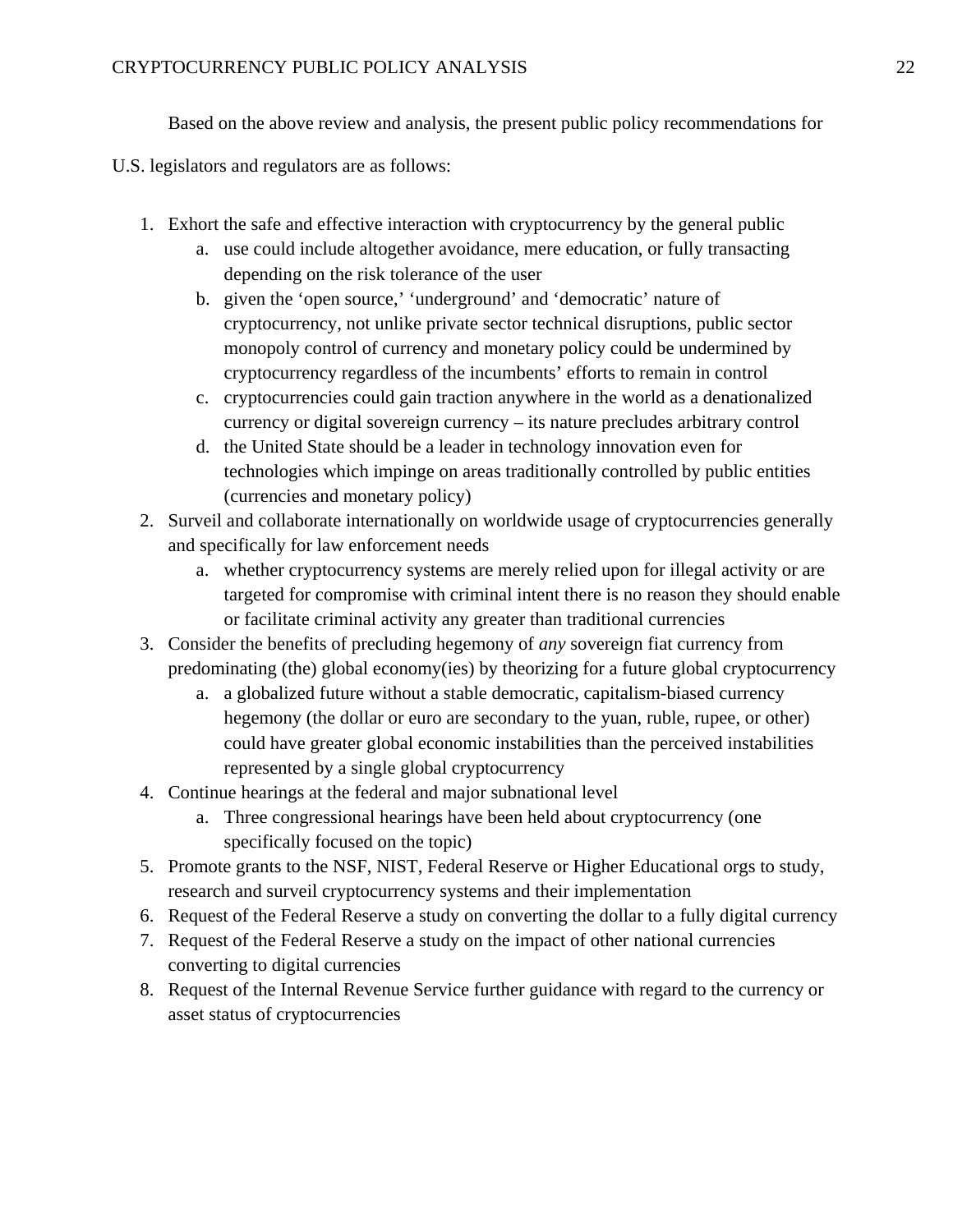Based on the above review and analysis, the present public policy recommendations for

U.S. legislators and regulators are as follows:

- 1. Exhort the safe and effective interaction with cryptocurrency by the general public
	- a. use could include altogether avoidance, mere education, or fully transacting depending on the risk tolerance of the user
	- b. given the 'open source,' 'underground' and 'democratic' nature of cryptocurrency, not unlike private sector technical disruptions, public sector monopoly control of currency and monetary policy could be undermined by cryptocurrency regardless of the incumbents' efforts to remain in control
	- c. cryptocurrencies could gain traction anywhere in the world as a denationalized currency or digital sovereign currency – its nature precludes arbitrary control
	- d. the United State should be a leader in technology innovation even for technologies which impinge on areas traditionally controlled by public entities (currencies and monetary policy)
- 2. Surveil and collaborate internationally on worldwide usage of cryptocurrencies generally and specifically for law enforcement needs
	- a. whether cryptocurrency systems are merely relied upon for illegal activity or are targeted for compromise with criminal intent there is no reason they should enable or facilitate criminal activity any greater than traditional currencies
- 3. Consider the benefits of precluding hegemony of *any* sovereign fiat currency from predominating (the) global economy(ies) by theorizing for a future global cryptocurrency
	- a. a globalized future without a stable democratic, capitalism-biased currency hegemony (the dollar or euro are secondary to the yuan, ruble, rupee, or other) could have greater global economic instabilities than the perceived instabilities represented by a single global cryptocurrency
- 4. Continue hearings at the federal and major subnational level
	- a. Three congressional hearings have been held about cryptocurrency (one specifically focused on the topic)
- 5. Promote grants to the NSF, NIST, Federal Reserve or Higher Educational orgs to study, research and surveil cryptocurrency systems and their implementation
- 6. Request of the Federal Reserve a study on converting the dollar to a fully digital currency
- 7. Request of the Federal Reserve a study on the impact of other national currencies converting to digital currencies
- 8. Request of the Internal Revenue Service further guidance with regard to the currency or asset status of cryptocurrencies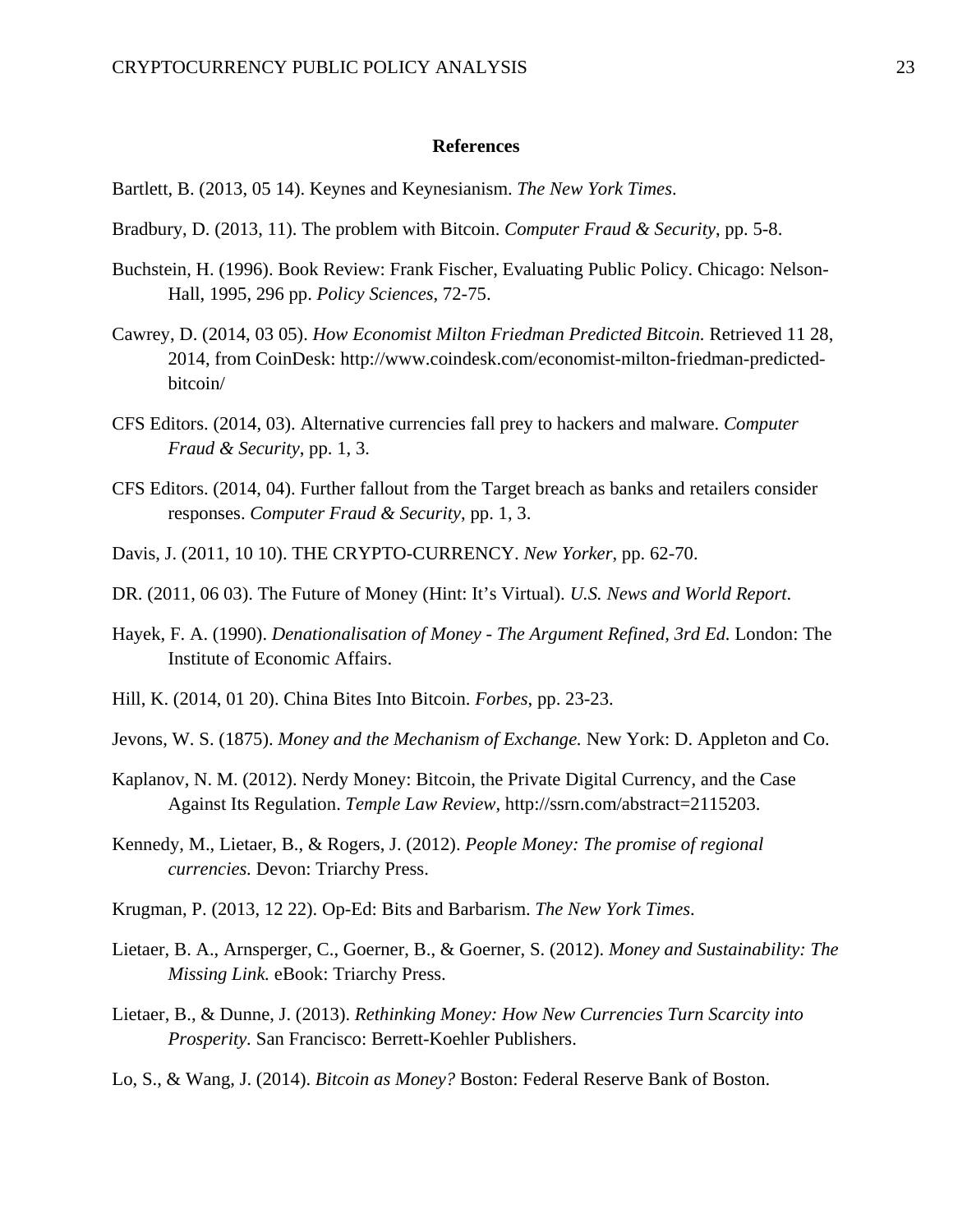#### **References**

- Bartlett, B. (2013, 05 14). Keynes and Keynesianism. *The New York Times*.
- Bradbury, D. (2013, 11). The problem with Bitcoin. *Computer Fraud & Security*, pp. 5-8.
- Buchstein, H. (1996). Book Review: Frank Fischer, Evaluating Public Policy. Chicago: Nelson-Hall, 1995, 296 pp. *Policy Sciences*, 72-75.
- Cawrey, D. (2014, 03 05). *How Economist Milton Friedman Predicted Bitcoin.* Retrieved 11 28, 2014, from CoinDesk: http://www.coindesk.com/economist-milton-friedman-predictedbitcoin/
- CFS Editors. (2014, 03). Alternative currencies fall prey to hackers and malware. *Computer Fraud & Security*, pp. 1, 3.
- CFS Editors. (2014, 04). Further fallout from the Target breach as banks and retailers consider responses. *Computer Fraud & Security*, pp. 1, 3.
- Davis, J. (2011, 10 10). THE CRYPTO-CURRENCY. *New Yorker*, pp. 62-70.
- DR. (2011, 06 03). The Future of Money (Hint: It's Virtual). *U.S. News and World Report*.
- Hayek, F. A. (1990). *Denationalisation of Money The Argument Refined, 3rd Ed.* London: The Institute of Economic Affairs.
- Hill, K. (2014, 01 20). China Bites Into Bitcoin. *Forbes*, pp. 23-23.
- Jevons, W. S. (1875). *Money and the Mechanism of Exchange.* New York: D. Appleton and Co.
- Kaplanov, N. M. (2012). Nerdy Money: Bitcoin, the Private Digital Currency, and the Case Against Its Regulation. *Temple Law Review*, http://ssrn.com/abstract=2115203.
- Kennedy, M., Lietaer, B., & Rogers, J. (2012). *People Money: The promise of regional currencies.* Devon: Triarchy Press.
- Krugman, P. (2013, 12 22). Op-Ed: Bits and Barbarism. *The New York Times*.
- Lietaer, B. A., Arnsperger, C., Goerner, B., & Goerner, S. (2012). *Money and Sustainability: The Missing Link.* eBook: Triarchy Press.
- Lietaer, B., & Dunne, J. (2013). *Rethinking Money: How New Currencies Turn Scarcity into Prosperity.* San Francisco: Berrett-Koehler Publishers.
- Lo, S., & Wang, J. (2014). *Bitcoin as Money?* Boston: Federal Reserve Bank of Boston.